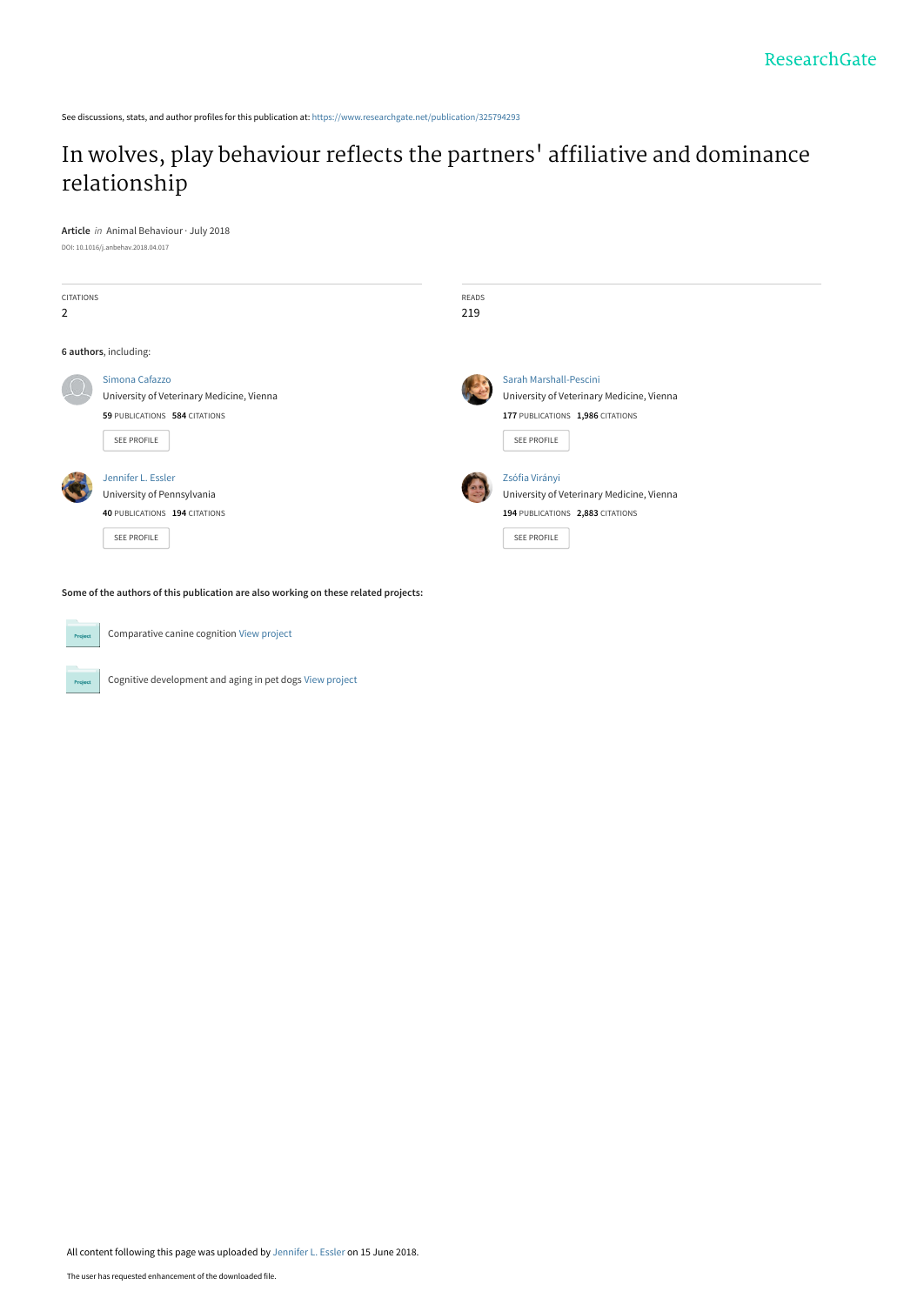See discussions, stats, and author profiles for this publication at: [https://www.researchgate.net/publication/325794293](https://www.researchgate.net/publication/325794293_In_wolves_play_behaviour_reflects_the_partners%27_affiliative_and_dominance_relationship?enrichId=rgreq-d9f37d8f5582c6a6e76d84673fdf1cd8-XXX&enrichSource=Y292ZXJQYWdlOzMyNTc5NDI5MztBUzo2Mzc5MTczMDMxNjQ5MjhAMTUyOTEwMjc0NTYxNg%3D%3D&el=1_x_2&_esc=publicationCoverPdf)

# [In wolves, play behaviour reflects the partners' affiliative and dominance](https://www.researchgate.net/publication/325794293_In_wolves_play_behaviour_reflects_the_partners%27_affiliative_and_dominance_relationship?enrichId=rgreq-d9f37d8f5582c6a6e76d84673fdf1cd8-XXX&enrichSource=Y292ZXJQYWdlOzMyNTc5NDI5MztBUzo2Mzc5MTczMDMxNjQ5MjhAMTUyOTEwMjc0NTYxNg%3D%3D&el=1_x_3&_esc=publicationCoverPdf) relationship

**Article** in Animal Behaviour · July 2018 DOI: 10.1016/j.anbehav.2018.04.017

| <b>READS</b>                                                        |
|---------------------------------------------------------------------|
| 219                                                                 |
|                                                                     |
| Sarah Marshall-Pescini<br>University of Veterinary Medicine, Vienna |
| 177 PUBLICATIONS 1,986 CITATIONS                                    |
| SEE PROFILE                                                         |
| Zsófia Virányi<br>University of Veterinary Medicine, Vienna         |
| 194 PUBLICATIONS 2,883 CITATIONS                                    |
| SEE PROFILE                                                         |
|                                                                     |

**Some of the authors of this publication are also working on these related projects:**



Comparative canine cognition [View project](https://www.researchgate.net/project/Comparative-canine-cognition?enrichId=rgreq-d9f37d8f5582c6a6e76d84673fdf1cd8-XXX&enrichSource=Y292ZXJQYWdlOzMyNTc5NDI5MztBUzo2Mzc5MTczMDMxNjQ5MjhAMTUyOTEwMjc0NTYxNg%3D%3D&el=1_x_9&_esc=publicationCoverPdf)

Cognitive development and aging in pet dogs [View project](https://www.researchgate.net/project/Cognitive-development-and-aging-in-pet-dogs?enrichId=rgreq-d9f37d8f5582c6a6e76d84673fdf1cd8-XXX&enrichSource=Y292ZXJQYWdlOzMyNTc5NDI5MztBUzo2Mzc5MTczMDMxNjQ5MjhAMTUyOTEwMjc0NTYxNg%3D%3D&el=1_x_9&_esc=publicationCoverPdf)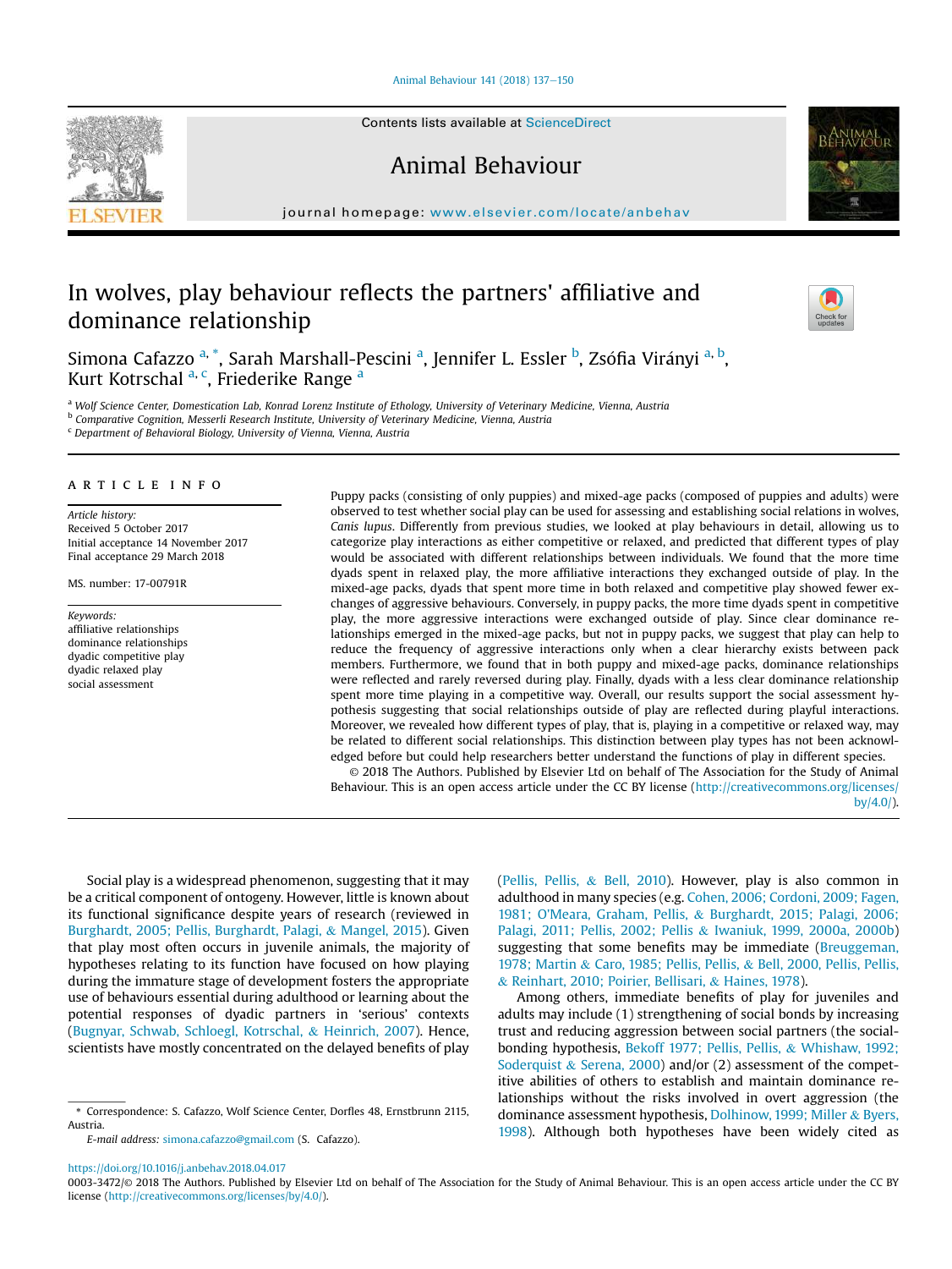Animal Behaviour 141 (2018) 137-150

Contents lists available at ScienceDirect

Animal Behaviour

journal homepage: www.elsevier.com/locate/anbehav

# In wolves, play behaviour reflects the partners' affiliative and dominance relationship

Simona Cafazzo <sup>a, \*</sup>, Sarah Marshall-Pescini <sup>a</sup>, Jennifer L. Essler <sup>b</sup>, Zsófia Virányi <sup>a, b</sup>, Kurt Kotrschal <sup>a, c</sup>, Friederike Range <sup>a</sup>

<sup>a</sup> *Wolf Science Center, Domestication Lab, Konrad Lorenz Institute of Ethology, University of Veterinary Medicine, Vienna, Austria*

b *Comparative Cognition, Messerli Research Institute, University of Veterinary Medicine, Vienna, Austria*

<sup>c</sup> *Department of Behavioral Biology, University of Vienna, Vienna, Austria*

# article info

*Article history:* Received 5 October 2017 Initial acceptance 14 November 2017 Final acceptance 29 March 2018

MS. number: 17-00791R

*Keywords:* affiliative relationships dominance relationships dyadic competitive play dyadic relaxed play social assessment

Puppy packs (consisting of only puppies) and mixed-age packs (composed of puppies and adults) were observed to test whether social play can be used for assessing and establishing social relations in wolves, *Canis lupus*. Differently from previous studies, we looked at play behaviours in detail, allowing us to categorize play interactions as either competitive or relaxed, and predicted that different types of play would be associated with different relationships between individuals. We found that the more time dyads spent in relaxed play, the more affiliative interactions they exchanged outside of play. In the mixed-age packs, dyads that spent more time in both relaxed and competitive play showed fewer exchanges of aggressive behaviours. Conversely, in puppy packs, the more time dyads spent in competitive play, the more aggressive interactions were exchanged outside of play. Since clear dominance relationships emerged in the mixed-age packs, but not in puppy packs, we suggest that play can help to reduce the frequency of aggressive interactions only when a clear hierarchy exists between pack members. Furthermore, we found that in both puppy and mixed-age packs, dominance relationships were reflected and rarely reversed during play. Finally, dyads with a less clear dominance relationship spent more time playing in a competitive way. Overall, our results support the social assessment hypothesis suggesting that social relationships outside of play are reflected during playful interactions. Moreover, we revealed how different types of play, that is, playing in a competitive or relaxed way, may be related to different social relationships. This distinction between play types has not been acknowledged before but could help researchers better understand the functions of play in different species.

© 2018 The Authors. Published by Elsevier Ltd on behalf of The Association for the Study of Animal Behaviour. This is an open access article under the CC BY license (http://creativecommons.org/licenses/ by/4.0/).

Social play is a widespread phenomenon, suggesting that it may be a critical component of ontogeny. However, little is known about its functional significance despite years of research (reviewed in Burghardt, 2005; Pellis, Burghardt, Palagi, & Mangel, 2015). Given that play most often occurs in juvenile animals, the majority of hypotheses relating to its function have focused on how playing during the immature stage of development fosters the appropriate use of behaviours essential during adulthood or learning about the potential responses of dyadic partners in 'serious' contexts (Bugnyar, Schwab, Schloegl, Kotrschal, & Heinrich, 2007). Hence, scientists have mostly concentrated on the delayed benefits of play

*E-mail address:* simona.cafazzo@gmail.com (S. Cafazzo).

(Pellis, Pellis, & Bell, 2010). However, play is also common in adulthood in many species (e.g. Cohen, 2006; Cordoni, 2009; Fagen, 1981; O'Meara, Graham, Pellis, & Burghardt, 2015; Palagi, 2006; Palagi, 2011; Pellis, 2002; Pellis & Iwaniuk, 1999, 2000a, 2000b) suggesting that some benefits may be immediate (Breuggeman, 1978; Martin & Caro, 1985; Pellis, Pellis, & Bell, 2000, Pellis, Pellis, & Reinhart, 2010; Poirier, Bellisari, & Haines, 1978).

Among others, immediate benefits of play for juveniles and adults may include (1) strengthening of social bonds by increasing trust and reducing aggression between social partners (the socialbonding hypothesis, Bekoff 1977; Pellis, Pellis, & Whishaw, 1992; Soderquist & Serena, 2000) and/or (2) assessment of the competitive abilities of others to establish and maintain dominance relationships without the risks involved in overt aggression (the dominance assessment hypothesis, Dolhinow, 1999; Miller & Byers, 1998). Although both hypotheses have been widely cited as

https://doi.org/10.1016/j.anbehav.2018.04.017





<sup>\*</sup> Correspondence: S. Cafazzo, Wolf Science Center, Dorfles 48, Ernstbrunn 2115, Austria.

<sup>0003-3472/</sup>© 2018 The Authors. Published by Elsevier Ltd on behalf of The Association for the Study of Animal Behaviour. This is an open access article under the CC BY license (http://creativecommons.org/licenses/by/4.0/).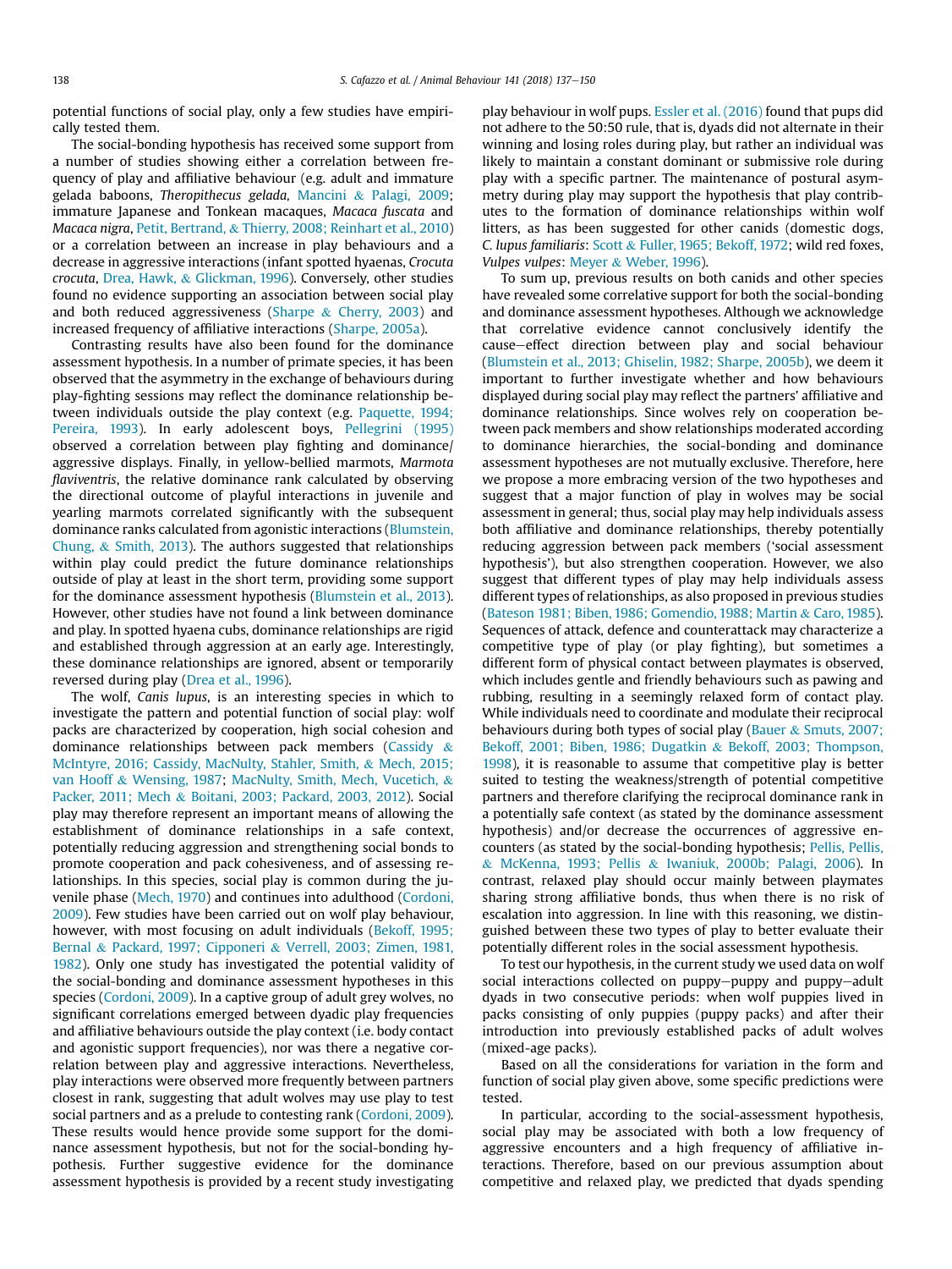potential functions of social play, only a few studies have empirically tested them.

The social-bonding hypothesis has received some support from a number of studies showing either a correlation between frequency of play and affiliative behaviour (e.g. adult and immature gelada baboons, *Theropithecus gelada,* Mancini & Palagi, 2009; immature Japanese and Tonkean macaques, *Macaca fuscata* and *Macaca nigra*, Petit, Bertrand, & Thierry, 2008; Reinhart et al., 2010) or a correlation between an increase in play behaviours and a decrease in aggressive interactions (infant spotted hyaenas, *Crocuta crocuta*, Drea, Hawk, & Glickman, 1996). Conversely, other studies found no evidence supporting an association between social play and both reduced aggressiveness (Sharpe  $&$  Cherry, 2003) and increased frequency of affiliative interactions (Sharpe, 2005a).

Contrasting results have also been found for the dominance assessment hypothesis. In a number of primate species, it has been observed that the asymmetry in the exchange of behaviours during play-fighting sessions may reflect the dominance relationship between individuals outside the play context (e.g. Paquette, 1994; Pereira, 1993). In early adolescent boys, Pellegrini (1995) observed a correlation between play fighting and dominance/ aggressive displays. Finally, in yellow-bellied marmots, *Marmota* fl*aviventris*, the relative dominance rank calculated by observing the directional outcome of playful interactions in juvenile and yearling marmots correlated significantly with the subsequent dominance ranks calculated from agonistic interactions (Blumstein, Chung, & Smith, 2013). The authors suggested that relationships within play could predict the future dominance relationships outside of play at least in the short term, providing some support for the dominance assessment hypothesis (Blumstein et al., 2013). However, other studies have not found a link between dominance and play. In spotted hyaena cubs, dominance relationships are rigid and established through aggression at an early age. Interestingly, these dominance relationships are ignored, absent or temporarily reversed during play (Drea et al., 1996).

The wolf, *Canis lupus*, is an interesting species in which to investigate the pattern and potential function of social play: wolf packs are characterized by cooperation, high social cohesion and dominance relationships between pack members (Cassidy  $\&$ McIntyre, 2016; Cassidy, MacNulty, Stahler, Smith, & Mech, 2015; van Hooff & Wensing, 1987; MacNulty, Smith, Mech, Vucetich, & Packer, 2011; Mech & Boitani, 2003; Packard, 2003, 2012). Social play may therefore represent an important means of allowing the establishment of dominance relationships in a safe context, potentially reducing aggression and strengthening social bonds to promote cooperation and pack cohesiveness, and of assessing relationships. In this species, social play is common during the juvenile phase (Mech, 1970) and continues into adulthood (Cordoni, 2009). Few studies have been carried out on wolf play behaviour, however, with most focusing on adult individuals (Bekoff, 1995; Bernal & Packard, 1997; Cipponeri & Verrell, 2003; Zimen, 1981, 1982). Only one study has investigated the potential validity of the social-bonding and dominance assessment hypotheses in this species (Cordoni, 2009). In a captive group of adult grey wolves, no significant correlations emerged between dyadic play frequencies and affiliative behaviours outside the play context (i.e. body contact and agonistic support frequencies), nor was there a negative correlation between play and aggressive interactions. Nevertheless, play interactions were observed more frequently between partners closest in rank, suggesting that adult wolves may use play to test social partners and as a prelude to contesting rank (Cordoni, 2009). These results would hence provide some support for the dominance assessment hypothesis, but not for the social-bonding hypothesis. Further suggestive evidence for the dominance assessment hypothesis is provided by a recent study investigating play behaviour in wolf pups. Essler et al. (2016) found that pups did not adhere to the 50:50 rule, that is, dyads did not alternate in their winning and losing roles during play, but rather an individual was likely to maintain a constant dominant or submissive role during play with a specific partner. The maintenance of postural asymmetry during play may support the hypothesis that play contributes to the formation of dominance relationships within wolf litters, as has been suggested for other canids (domestic dogs, *C. lupus familiaris*: Scott & Fuller, 1965; Bekoff, 1972; wild red foxes, *Vulpes vulpes*: Meyer & Weber, 1996).

To sum up, previous results on both canids and other species have revealed some correlative support for both the social-bonding and dominance assessment hypotheses. Although we acknowledge that correlative evidence cannot conclusively identify the cause–effect direction between play and social behaviour (Blumstein et al., 2013; Ghiselin, 1982; Sharpe, 2005b), we deem it important to further investigate whether and how behaviours displayed during social play may reflect the partners' affiliative and dominance relationships. Since wolves rely on cooperation between pack members and show relationships moderated according to dominance hierarchies, the social-bonding and dominance assessment hypotheses are not mutually exclusive. Therefore, here we propose a more embracing version of the two hypotheses and suggest that a major function of play in wolves may be social assessment in general; thus, social play may help individuals assess both affiliative and dominance relationships, thereby potentially reducing aggression between pack members ('social assessment hypothesis'), but also strengthen cooperation. However, we also suggest that different types of play may help individuals assess different types of relationships, as also proposed in previous studies (Bateson 1981; Biben, 1986; Gomendio, 1988; Martin & Caro, 1985). Sequences of attack, defence and counterattack may characterize a competitive type of play (or play fighting), but sometimes a different form of physical contact between playmates is observed, which includes gentle and friendly behaviours such as pawing and rubbing, resulting in a seemingly relaxed form of contact play. While individuals need to coordinate and modulate their reciprocal behaviours during both types of social play (Bauer & Smuts, 2007; Bekoff, 2001; Biben, 1986; Dugatkin & Bekoff, 2003; Thompson, 1998), it is reasonable to assume that competitive play is better suited to testing the weakness/strength of potential competitive partners and therefore clarifying the reciprocal dominance rank in a potentially safe context (as stated by the dominance assessment hypothesis) and/or decrease the occurrences of aggressive encounters (as stated by the social-bonding hypothesis; Pellis, Pellis, & McKenna, 1993; Pellis & Iwaniuk, 2000b; Palagi, 2006). In contrast, relaxed play should occur mainly between playmates sharing strong affiliative bonds, thus when there is no risk of escalation into aggression. In line with this reasoning, we distinguished between these two types of play to better evaluate their potentially different roles in the social assessment hypothesis.

To test our hypothesis, in the current study we used data on wolf social interactions collected on puppy-puppy and puppy-adult dyads in two consecutive periods: when wolf puppies lived in packs consisting of only puppies (puppy packs) and after their introduction into previously established packs of adult wolves (mixed-age packs).

Based on all the considerations for variation in the form and function of social play given above, some specific predictions were tested.

In particular, according to the social-assessment hypothesis, social play may be associated with both a low frequency of aggressive encounters and a high frequency of affiliative interactions. Therefore, based on our previous assumption about competitive and relaxed play, we predicted that dyads spending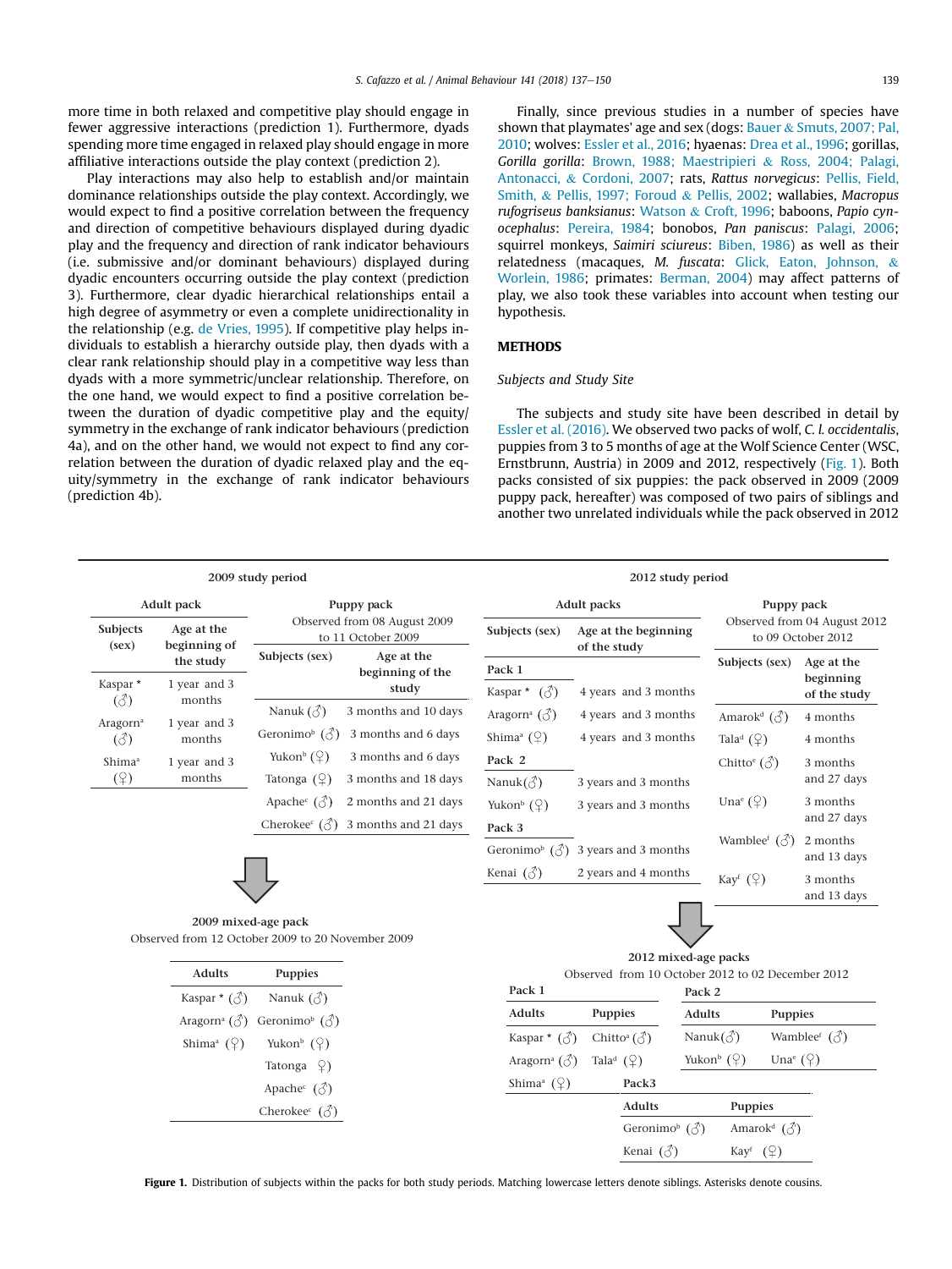more time in both relaxed and competitive play should engage in fewer aggressive interactions (prediction 1). Furthermore, dyads spending more time engaged in relaxed play should engage in more affiliative interactions outside the play context (prediction 2).

Play interactions may also help to establish and/or maintain dominance relationships outside the play context. Accordingly, we would expect to find a positive correlation between the frequency and direction of competitive behaviours displayed during dyadic play and the frequency and direction of rank indicator behaviours (i.e. submissive and/or dominant behaviours) displayed during dyadic encounters occurring outside the play context (prediction 3). Furthermore, clear dyadic hierarchical relationships entail a high degree of asymmetry or even a complete unidirectionality in the relationship (e.g. de Vries, 1995). If competitive play helps individuals to establish a hierarchy outside play, then dyads with a clear rank relationship should play in a competitive way less than dyads with a more symmetric/unclear relationship. Therefore, on the one hand, we would expect to find a positive correlation between the duration of dyadic competitive play and the equity/ symmetry in the exchange of rank indicator behaviours (prediction 4a), and on the other hand, we would not expect to find any correlation between the duration of dyadic relaxed play and the equity/symmetry in the exchange of rank indicator behaviours (prediction 4b).

Finally, since previous studies in a number of species have shown that playmates' age and sex (dogs: Bauer & Smuts, 2007; Pal, 2010; wolves: Essler et al., 2016; hyaenas: Drea et al., 1996; gorillas, *Gorilla gorilla*: Brown, 1988; Maestripieri & Ross, 2004; Palagi, Antonacci, & Cordoni, 2007; rats, *Rattus norvegicus*: Pellis, Field, Smith, & Pellis, 1997; Foroud & Pellis, 2002; wallabies, *Macropus rufogriseus banksianus*: Watson & Croft, 1996; baboons, *Papio cynocephalus*: Pereira, 1984; bonobos, *Pan paniscus*: Palagi, 2006; squirrel monkeys, *Saimiri sciureus*: Biben, 1986) as well as their relatedness (macaques, *M. fuscata*: Glick, Eaton, Johnson, & Worlein, 1986; primates: Berman, 2004) may affect patterns of play, we also took these variables into account when testing our hypothesis.

## METHODS

## *Subjects and Study Site*

The subjects and study site have been described in detail by Essler et al. (2016). We observed two packs of wolf, *C. l. occidentalis*, puppies from 3 to 5 months of age at the Wolf Science Center (WSC, Ernstbrunn, Austria) in 2009 and 2012, respectively (Fig. 1). Both packs consisted of six puppies: the pack observed in 2009 (2009 puppy pack, hereafter) was composed of two pairs of siblings and another two unrelated individuals while the pack observed in 2012

|                              | 2009 study period         |                                                                   |                           |  |  |  |
|------------------------------|---------------------------|-------------------------------------------------------------------|---------------------------|--|--|--|
|                              | <b>Adult</b> pack         | Puppy pack<br>Observed from 08 August 2009<br>to 11 October 2009  |                           |  |  |  |
| <b>Subjects</b><br>(sex)     | Age at the                |                                                                   |                           |  |  |  |
|                              | beginning of<br>the study | Subjects (sex)<br>Age at the                                      |                           |  |  |  |
| Kaspar <sup>*</sup><br>( 3 ) | 1 year and 3              |                                                                   | beginning of the<br>study |  |  |  |
|                              | months                    | Nanuk $(\textcolor{blue}{\stackrel{\wedge}{\scriptstyle\wedge}})$ | 3 months and 10 days      |  |  |  |
| Aragorn <sup>a</sup><br>(3)  | 1 year and 3<br>months    | Geronimo <sup>b</sup> ( $\textcircled{?}$ )                       | 3 months and 6 days       |  |  |  |
| Shima <sup>a</sup>           | 1 year and 3              | Yukon <sup>b</sup> $(\mathcal{Q})$                                | 3 months and 6 days       |  |  |  |
| $(\nexists)$                 | months                    | Tatonga $(\mathcal{Q})$                                           | 3 months and 18 days      |  |  |  |
|                              |                           | Apache <sup>c</sup> ( $\stackrel{\frown}{\circ}$ )                | 2 months and 21 days      |  |  |  |
|                              |                           | Cherokee <sup>c</sup> ( $\triangle$                               | 3 months and 21 days      |  |  |  |



**2009 mixed-age pack** Observed from 12 October 2009 to 20 November 2009

| Adults                                     | <b>Puppies</b>                             |
|--------------------------------------------|--------------------------------------------|
|                                            | Kaspar $*(\text{A})$ Nanuk $(\text{A})$    |
| Aragorn <sup>a</sup> ( $\textcircled{3}$ ) | Geronimo <sup>b</sup> $(\text{S})$         |
| Shima <sup>a</sup> $(\nsubseteq)$          | Yukon <sup>b</sup> $(\mathcal{Q})$         |
|                                            | Tatonga $\mathcal{Q}$ )                    |
|                                            | Apache <sup>c</sup> ( $\textcircled{3}$ )  |
|                                            | Cherokee $^c$ ( $\stackrel{\sim}{\circ}$ ) |

| 2012 study period                                            |                                                                    |                                      |  |
|--------------------------------------------------------------|--------------------------------------------------------------------|--------------------------------------|--|
| <b>Adult</b> packs                                           |                                                                    | Puppy pack                           |  |
| Age at the beginning<br>of the study                         | Observed from 04 August 2012<br>to 09 October 2012                 |                                      |  |
|                                                              | Subjects (sex)                                                     | Age at the<br>beginning              |  |
| 4 years and 3 months                                         |                                                                    | of the study                         |  |
| 4 years and 3 months                                         | Amarok <sup>d</sup> $(\text{A})$                                   | 4 months                             |  |
| 4 years and 3 months                                         | Tala <sup>d</sup> $(\mathcal{Q})$                                  | 4 months                             |  |
|                                                              | Chitto <sup>e</sup> $(\textcolor{blue}{\stackrel{\frown}{\circ}})$ | 3 months                             |  |
| 3 years and 3 months                                         |                                                                    | and 27 days                          |  |
| 3 years and 3 months                                         | Una <sup>e</sup> $(\varphi)$                                       | 3 months                             |  |
|                                                              |                                                                    | and 27 days                          |  |
| Geronimo <sup>b</sup> ( $\circled{3}$ ) 3 years and 3 months |                                                                    | 2 months<br>and 13 days              |  |
| 2 years and 4 months                                         | Kay <sup>f</sup> $(\mathcal{Q})$                                   | 3 months                             |  |
|                                                              |                                                                    | Wamblee <sup>f</sup> $(\vec{\circ})$ |  |



Observed from 10 October 2012 to 02 December 2012

| Pack 1                                                               |                                           | Pack 2                             |                                   |  |
|----------------------------------------------------------------------|-------------------------------------------|------------------------------------|-----------------------------------|--|
| <b>Adults</b>                                                        | <b>Puppies</b>                            | <b>Adults</b>                      | <b>Puppies</b>                    |  |
| Kaspar * $(\vec{\triangle})$ Chitto <sup>a</sup> $(\vec{\triangle})$ |                                           | Nanuk $(\text{d})$                 | Wamblee <sup>f</sup> $(\text{A})$ |  |
| Aragorn <sup>a</sup> $(\vec{\triangle})$                             | Tala <sup>d</sup> $(2)$                   | Yukon <sup>b</sup> $(\mathcal{Q})$ | Una <sup>e</sup> $(\mathcal{Q})$  |  |
| Shima <sup>a</sup> $(\n\downarrow)$                                  | Pack3                                     |                                    |                                   |  |
|                                                                      | <b>Adults</b>                             | <b>Puppies</b>                     |                                   |  |
|                                                                      | Geronimo <sup>b</sup> $(\textcircled{3})$ |                                    | Amarok <sup>d</sup> $(\text{A})$  |  |
|                                                                      | Kenai $(\text{A})$                        |                                    | Kay <sup>f</sup> $(\mathcal{Q})$  |  |

Figure 1. Distribution of subjects within the packs for both study periods. Matching lowercase letters denote siblings. Asterisks denote cousins.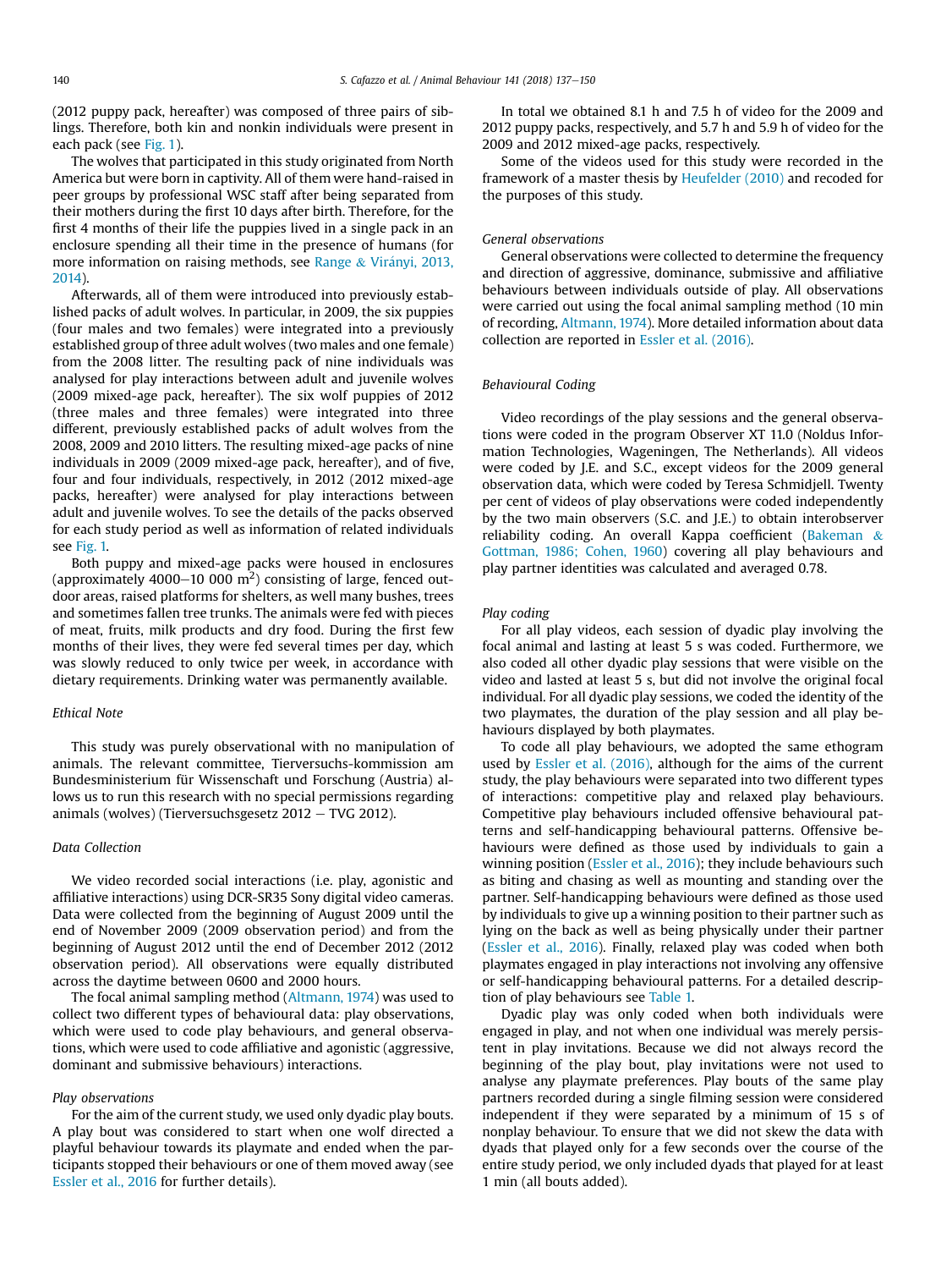(2012 puppy pack, hereafter) was composed of three pairs of siblings. Therefore, both kin and nonkin individuals were present in each pack (see Fig. 1).

The wolves that participated in this study originated from North America but were born in captivity. All of them were hand-raised in peer groups by professional WSC staff after being separated from their mothers during the first 10 days after birth. Therefore, for the first 4 months of their life the puppies lived in a single pack in an enclosure spending all their time in the presence of humans (for more information on raising methods, see Range & Virányi, 2013, 2014).

Afterwards, all of them were introduced into previously established packs of adult wolves. In particular, in 2009, the six puppies (four males and two females) were integrated into a previously established group of three adult wolves (two males and one female) from the 2008 litter. The resulting pack of nine individuals was analysed for play interactions between adult and juvenile wolves (2009 mixed-age pack, hereafter). The six wolf puppies of 2012 (three males and three females) were integrated into three different, previously established packs of adult wolves from the 2008, 2009 and 2010 litters. The resulting mixed-age packs of nine individuals in 2009 (2009 mixed-age pack, hereafter), and of five, four and four individuals, respectively, in 2012 (2012 mixed-age packs, hereafter) were analysed for play interactions between adult and juvenile wolves. To see the details of the packs observed for each study period as well as information of related individuals see Fig. 1.

Both puppy and mixed-age packs were housed in enclosures (approximately 4000–10 000  $\mathrm{m}^2$ ) consisting of large, fenced outdoor areas, raised platforms for shelters, as well many bushes, trees and sometimes fallen tree trunks. The animals were fed with pieces of meat, fruits, milk products and dry food. During the first few months of their lives, they were fed several times per day, which was slowly reduced to only twice per week, in accordance with dietary requirements. Drinking water was permanently available.

#### *Ethical Note*

This study was purely observational with no manipulation of animals. The relevant committee, Tierversuchs-kommission am Bundesministerium für Wissenschaft und Forschung (Austria) allows us to run this research with no special permissions regarding animals (wolves) (Tierversuchsgesetz  $2012 - TVG 2012$ ).

#### *Data Collection*

We video recorded social interactions (i.e. play, agonistic and affiliative interactions) using DCR-SR35 Sony digital video cameras. Data were collected from the beginning of August 2009 until the end of November 2009 (2009 observation period) and from the beginning of August 2012 until the end of December 2012 (2012 observation period). All observations were equally distributed across the daytime between 0600 and 2000 hours.

The focal animal sampling method (Altmann, 1974) was used to collect two different types of behavioural data: play observations, which were used to code play behaviours, and general observations, which were used to code affiliative and agonistic (aggressive, dominant and submissive behaviours) interactions.

### *Play observations*

For the aim of the current study, we used only dyadic play bouts. A play bout was considered to start when one wolf directed a playful behaviour towards its playmate and ended when the participants stopped their behaviours or one of them moved away (see Essler et al., 2016 for further details).

In total we obtained 8.1 h and 7.5 h of video for the 2009 and 2012 puppy packs, respectively, and 5.7 h and 5.9 h of video for the 2009 and 2012 mixed-age packs, respectively.

Some of the videos used for this study were recorded in the framework of a master thesis by Heufelder (2010) and recoded for the purposes of this study.

#### *General observations*

General observations were collected to determine the frequency and direction of aggressive, dominance, submissive and affiliative behaviours between individuals outside of play. All observations were carried out using the focal animal sampling method (10 min of recording, Altmann, 1974). More detailed information about data collection are reported in Essler et al. (2016).

# *Behavioural Coding*

Video recordings of the play sessions and the general observations were coded in the program Observer XT 11.0 (Noldus Information Technologies, Wageningen, The Netherlands). All videos were coded by J.E. and S.C., except videos for the 2009 general observation data, which were coded by Teresa Schmidjell. Twenty per cent of videos of play observations were coded independently by the two main observers (S.C. and J.E.) to obtain interobserver reliability coding. An overall Kappa coefficient (Bakeman  $\&$ Gottman, 1986; Cohen, 1960) covering all play behaviours and play partner identities was calculated and averaged 0.78.

#### *Play coding*

For all play videos, each session of dyadic play involving the focal animal and lasting at least 5 s was coded. Furthermore, we also coded all other dyadic play sessions that were visible on the video and lasted at least 5 s, but did not involve the original focal individual. For all dyadic play sessions, we coded the identity of the two playmates, the duration of the play session and all play behaviours displayed by both playmates.

To code all play behaviours, we adopted the same ethogram used by Essler et al. (2016), although for the aims of the current study, the play behaviours were separated into two different types of interactions: competitive play and relaxed play behaviours. Competitive play behaviours included offensive behavioural patterns and self-handicapping behavioural patterns. Offensive behaviours were defined as those used by individuals to gain a winning position (Essler et al., 2016); they include behaviours such as biting and chasing as well as mounting and standing over the partner. Self-handicapping behaviours were defined as those used by individuals to give up a winning position to their partner such as lying on the back as well as being physically under their partner (Essler et al., 2016). Finally, relaxed play was coded when both playmates engaged in play interactions not involving any offensive or self-handicapping behavioural patterns. For a detailed description of play behaviours see Table 1.

Dyadic play was only coded when both individuals were engaged in play, and not when one individual was merely persistent in play invitations. Because we did not always record the beginning of the play bout, play invitations were not used to analyse any playmate preferences. Play bouts of the same play partners recorded during a single filming session were considered independent if they were separated by a minimum of 15 s of nonplay behaviour. To ensure that we did not skew the data with dyads that played only for a few seconds over the course of the entire study period, we only included dyads that played for at least 1 min (all bouts added).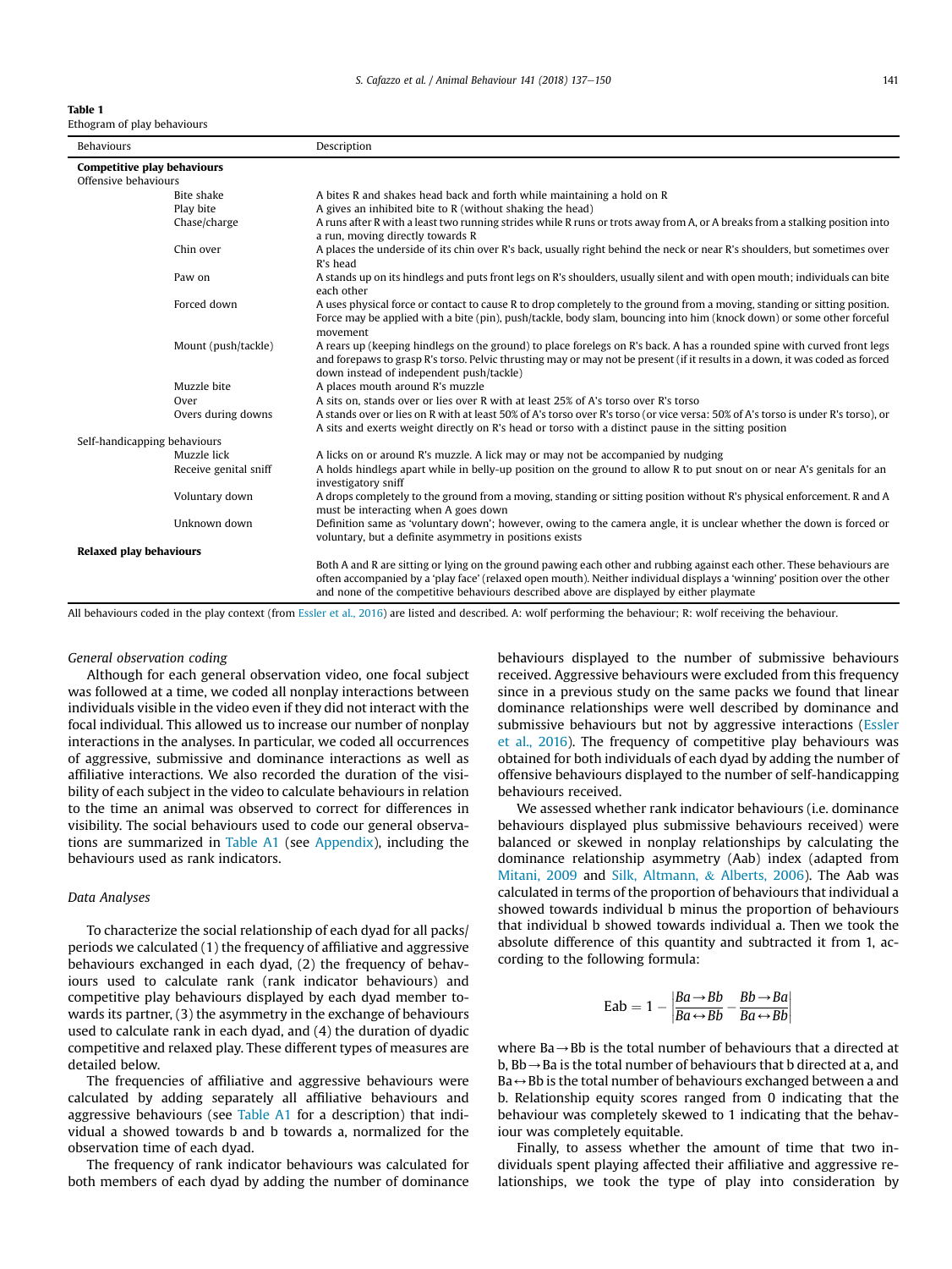#### Table 1 Ethogram of play behaviours

| Behaviours                         |                       | Description                                                                                                                                                                                                                                                                                                                                   |
|------------------------------------|-----------------------|-----------------------------------------------------------------------------------------------------------------------------------------------------------------------------------------------------------------------------------------------------------------------------------------------------------------------------------------------|
| <b>Competitive play behaviours</b> |                       |                                                                                                                                                                                                                                                                                                                                               |
| Offensive behaviours               |                       |                                                                                                                                                                                                                                                                                                                                               |
|                                    | Bite shake            | A bites R and shakes head back and forth while maintaining a hold on R                                                                                                                                                                                                                                                                        |
|                                    | Play bite             | A gives an inhibited bite to R (without shaking the head)                                                                                                                                                                                                                                                                                     |
|                                    | Chase/charge          | A runs after R with a least two running strides while R runs or trots away from A, or A breaks from a stalking position into<br>a run, moving directly towards R                                                                                                                                                                              |
|                                    | Chin over             | A places the underside of its chin over R's back, usually right behind the neck or near R's shoulders, but sometimes over<br>R's head                                                                                                                                                                                                         |
|                                    | Paw on                | A stands up on its hindlegs and puts front legs on R's shoulders, usually silent and with open mouth; individuals can bite<br>each other                                                                                                                                                                                                      |
|                                    | Forced down           | A uses physical force or contact to cause R to drop completely to the ground from a moving, standing or sitting position.<br>Force may be applied with a bite (pin), push/tackle, body slam, bouncing into him (knock down) or some other forceful<br>movement                                                                                |
|                                    | Mount (push/tackle)   | A rears up (keeping hindlegs on the ground) to place forelegs on R's back. A has a rounded spine with curved front legs<br>and forepaws to grasp R's torso. Pelvic thrusting may or may not be present (if it results in a down, it was coded as forced<br>down instead of independent push/tackle)                                           |
|                                    | Muzzle bite           | A places mouth around R's muzzle                                                                                                                                                                                                                                                                                                              |
|                                    | Over                  | A sits on, stands over or lies over R with at least 25% of A's torso over R's torso                                                                                                                                                                                                                                                           |
|                                    | Overs during downs    | A stands over or lies on R with at least 50% of A's torso over R's torso (or vice versa: 50% of A's torso is under R's torso), or<br>A sits and exerts weight directly on R's head or torso with a distinct pause in the sitting position                                                                                                     |
| Self-handicapping behaviours       |                       |                                                                                                                                                                                                                                                                                                                                               |
|                                    | Muzzle lick           | A licks on or around R's muzzle. A lick may or may not be accompanied by nudging                                                                                                                                                                                                                                                              |
|                                    | Receive genital sniff | A holds hindlegs apart while in belly-up position on the ground to allow R to put snout on or near A's genitals for an<br>investigatory sniff                                                                                                                                                                                                 |
|                                    | Voluntary down        | A drops completely to the ground from a moving, standing or sitting position without R's physical enforcement. R and A<br>must be interacting when A goes down                                                                                                                                                                                |
|                                    | Unknown down          | Definition same as 'voluntary down'; however, owing to the camera angle, it is unclear whether the down is forced or<br>voluntary, but a definite asymmetry in positions exists                                                                                                                                                               |
| <b>Relaxed play behaviours</b>     |                       |                                                                                                                                                                                                                                                                                                                                               |
|                                    |                       | Both A and R are sitting or lying on the ground pawing each other and rubbing against each other. These behaviours are<br>often accompanied by a 'play face' (relaxed open mouth). Neither individual displays a 'winning' position over the other<br>and none of the competitive behaviours described above are displayed by either playmate |

All behaviours coded in the play context (from Essler et al., 2016) are listed and described. A: wolf performing the behaviour; R: wolf receiving the behaviour.

#### *General observation coding*

Although for each general observation video, one focal subject was followed at a time, we coded all nonplay interactions between individuals visible in the video even if they did not interact with the focal individual. This allowed us to increase our number of nonplay interactions in the analyses. In particular, we coded all occurrences of aggressive, submissive and dominance interactions as well as affiliative interactions. We also recorded the duration of the visibility of each subject in the video to calculate behaviours in relation to the time an animal was observed to correct for differences in visibility. The social behaviours used to code our general observations are summarized in Table A1 (see Appendix), including the behaviours used as rank indicators.

# *Data Analyses*

To characterize the social relationship of each dyad for all packs/ periods we calculated (1) the frequency of affiliative and aggressive behaviours exchanged in each dyad, (2) the frequency of behaviours used to calculate rank (rank indicator behaviours) and competitive play behaviours displayed by each dyad member towards its partner, (3) the asymmetry in the exchange of behaviours used to calculate rank in each dyad, and (4) the duration of dyadic competitive and relaxed play. These different types of measures are detailed below.

The frequencies of affiliative and aggressive behaviours were calculated by adding separately all affiliative behaviours and aggressive behaviours (see Table A1 for a description) that individual a showed towards b and b towards a, normalized for the observation time of each dyad.

The frequency of rank indicator behaviours was calculated for both members of each dyad by adding the number of dominance

behaviours displayed to the number of submissive behaviours received. Aggressive behaviours were excluded from this frequency since in a previous study on the same packs we found that linear dominance relationships were well described by dominance and submissive behaviours but not by aggressive interactions (Essler et al., 2016). The frequency of competitive play behaviours was obtained for both individuals of each dyad by adding the number of offensive behaviours displayed to the number of self-handicapping behaviours received.

We assessed whether rank indicator behaviours (i.e. dominance behaviours displayed plus submissive behaviours received) were balanced or skewed in nonplay relationships by calculating the dominance relationship asymmetry (Aab) index (adapted from Mitani, 2009 and Silk, Altmann, & Alberts, 2006). The Aab was calculated in terms of the proportion of behaviours that individual a showed towards individual b minus the proportion of behaviours that individual b showed towards individual a. Then we took the absolute difference of this quantity and subtracted it from 1, according to the following formula:

$$
Eab = 1 - \left| \frac{Ba \rightarrow Bb}{Ba \leftrightarrow Bb} - \frac{Bb \rightarrow Ba}{Ba \leftrightarrow Bb} \right|
$$

where Ba $\rightarrow$ Bb is the total number of behaviours that a directed at b,  $Bb \rightarrow Ba$  is the total number of behaviours that b directed at a, and  $Ba \leftrightarrow Bb$  is the total number of behaviours exchanged between a and b. Relationship equity scores ranged from 0 indicating that the behaviour was completely skewed to 1 indicating that the behaviour was completely equitable.

Finally, to assess whether the amount of time that two individuals spent playing affected their affiliative and aggressive relationships, we took the type of play into consideration by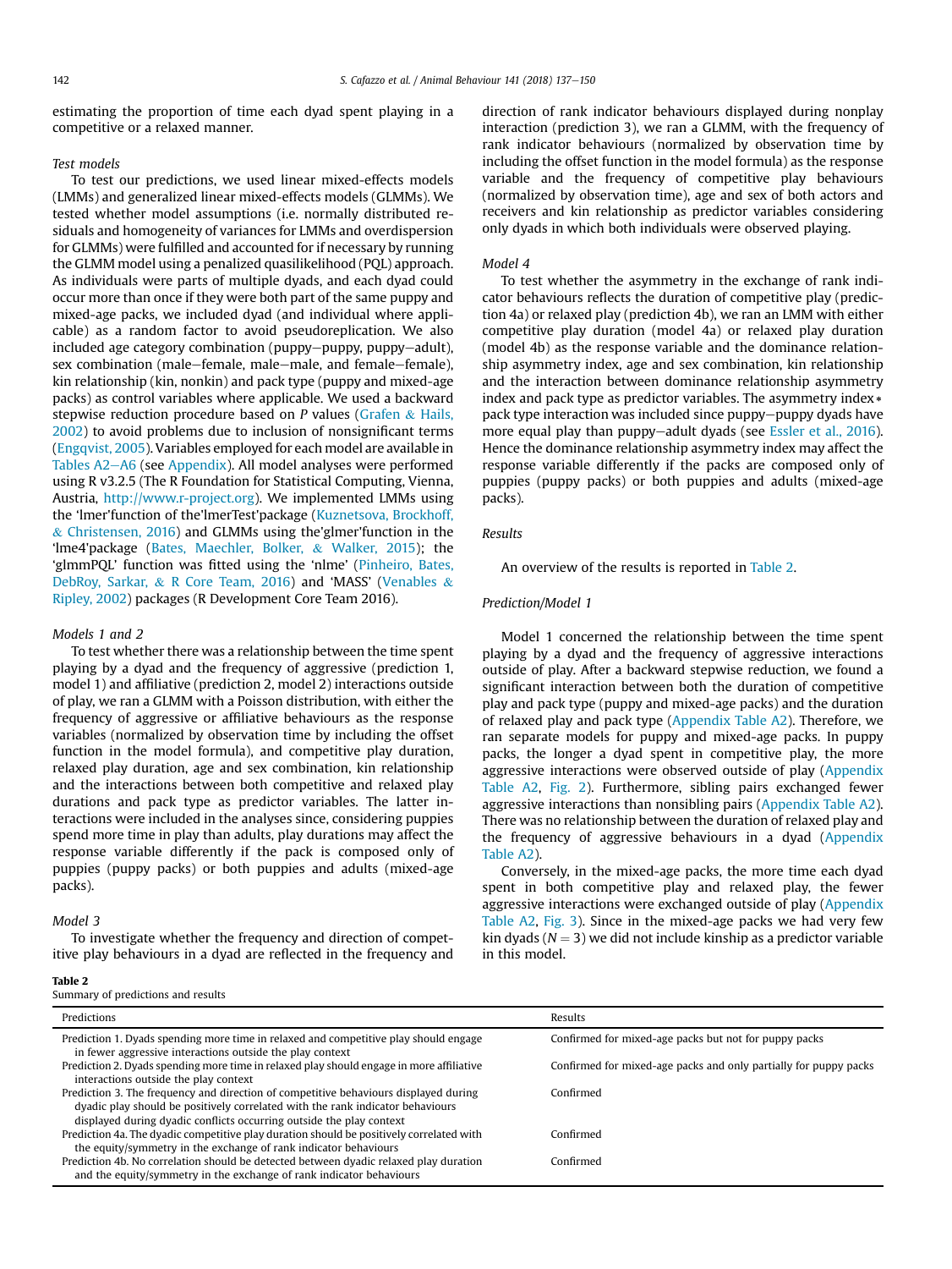estimating the proportion of time each dyad spent playing in a competitive or a relaxed manner.

#### *Test models*

To test our predictions, we used linear mixed-effects models (LMMs) and generalized linear mixed-effects models (GLMMs). We tested whether model assumptions (i.e. normally distributed residuals and homogeneity of variances for LMMs and overdispersion for GLMMs) were fulfilled and accounted for if necessary by running the GLMM model using a penalized quasilikelihood (PQL) approach. As individuals were parts of multiple dyads, and each dyad could occur more than once if they were both part of the same puppy and mixed-age packs, we included dyad (and individual where applicable) as a random factor to avoid pseudoreplication. We also included age category combination (puppy-puppy, puppy-adult), sex combination (male-female, male-male, and female-female), kin relationship (kin, nonkin) and pack type (puppy and mixed-age packs) as control variables where applicable. We used a backward stepwise reduction procedure based on *P* values (Grafen & Hails, 2002) to avoid problems due to inclusion of nonsignificant terms (Engqvist, 2005). Variables employed for each model are available in Tables A2-A6 (see Appendix). All model analyses were performed using R v3.2.5 (The R Foundation for Statistical Computing, Vienna, Austria, http://www.r-project.org). We implemented LMMs using the 'lmer'function of the'lmerTest'package (Kuznetsova, Brockhoff, & Christensen, 2016) and GLMMs using the'glmer'function in the 'lme4'package (Bates, Maechler, Bolker, & Walker, 2015); the 'glmmPQL' function was fitted using the 'nlme' (Pinheiro, Bates, DebRoy, Sarkar, & R Core Team, 2016) and 'MASS' (Venables & Ripley, 2002) packages (R Development Core Team 2016).

## *Models 1 and 2*

To test whether there was a relationship between the time spent playing by a dyad and the frequency of aggressive (prediction 1, model 1) and affiliative (prediction 2, model 2) interactions outside of play, we ran a GLMM with a Poisson distribution, with either the frequency of aggressive or affiliative behaviours as the response variables (normalized by observation time by including the offset function in the model formula), and competitive play duration, relaxed play duration, age and sex combination, kin relationship and the interactions between both competitive and relaxed play durations and pack type as predictor variables. The latter interactions were included in the analyses since, considering puppies spend more time in play than adults, play durations may affect the response variable differently if the pack is composed only of puppies (puppy packs) or both puppies and adults (mixed-age packs).

#### *Model 3*

To investigate whether the frequency and direction of competitive play behaviours in a dyad are reflected in the frequency and

#### Table 2

Summary of predictions and results

direction of rank indicator behaviours displayed during nonplay interaction (prediction 3), we ran a GLMM, with the frequency of rank indicator behaviours (normalized by observation time by including the offset function in the model formula) as the response variable and the frequency of competitive play behaviours (normalized by observation time), age and sex of both actors and receivers and kin relationship as predictor variables considering only dyads in which both individuals were observed playing.

### *Model 4*

To test whether the asymmetry in the exchange of rank indicator behaviours reflects the duration of competitive play (prediction 4a) or relaxed play (prediction 4b), we ran an LMM with either competitive play duration (model 4a) or relaxed play duration (model 4b) as the response variable and the dominance relationship asymmetry index, age and sex combination, kin relationship and the interaction between dominance relationship asymmetry index and pack type as predictor variables. The asymmetry index $*$ pack type interaction was included since puppy-puppy dyads have more equal play than puppy-adult dyads (see Essler et al., 2016). Hence the dominance relationship asymmetry index may affect the response variable differently if the packs are composed only of puppies (puppy packs) or both puppies and adults (mixed-age packs).

## *Results*

An overview of the results is reported in Table 2.

#### *Prediction/Model 1*

Model 1 concerned the relationship between the time spent playing by a dyad and the frequency of aggressive interactions outside of play. After a backward stepwise reduction, we found a significant interaction between both the duration of competitive play and pack type (puppy and mixed-age packs) and the duration of relaxed play and pack type (Appendix Table A2). Therefore, we ran separate models for puppy and mixed-age packs. In puppy packs, the longer a dyad spent in competitive play, the more aggressive interactions were observed outside of play (Appendix Table A2, Fig. 2). Furthermore, sibling pairs exchanged fewer aggressive interactions than nonsibling pairs (Appendix Table A2). There was no relationship between the duration of relaxed play and the frequency of aggressive behaviours in a dyad (Appendix Table A2).

Conversely, in the mixed-age packs, the more time each dyad spent in both competitive play and relaxed play, the fewer aggressive interactions were exchanged outside of play (Appendix Table A2, Fig. 3). Since in the mixed-age packs we had very few kin dyads ( $N = 3$ ) we did not include kinship as a predictor variable in this model.

| Predictions                                                                                                                                                                                                                                    | Results                                                          |
|------------------------------------------------------------------------------------------------------------------------------------------------------------------------------------------------------------------------------------------------|------------------------------------------------------------------|
| Prediction 1. Dyads spending more time in relaxed and competitive play should engage<br>in fewer aggressive interactions outside the play context                                                                                              | Confirmed for mixed-age packs but not for puppy packs            |
| Prediction 2. Dyads spending more time in relaxed play should engage in more affiliative<br>interactions outside the play context                                                                                                              | Confirmed for mixed-age packs and only partially for puppy packs |
| Prediction 3. The frequency and direction of competitive behaviours displayed during<br>dyadic play should be positively correlated with the rank indicator behaviours<br>displayed during dyadic conflicts occurring outside the play context | Confirmed                                                        |
| Prediction 4a. The dyadic competitive play duration should be positively correlated with<br>the equity/symmetry in the exchange of rank indicator behaviours                                                                                   | Confirmed                                                        |
| Prediction 4b. No correlation should be detected between dyadic relaxed play duration<br>and the equity/symmetry in the exchange of rank indicator behaviours                                                                                  | Confirmed                                                        |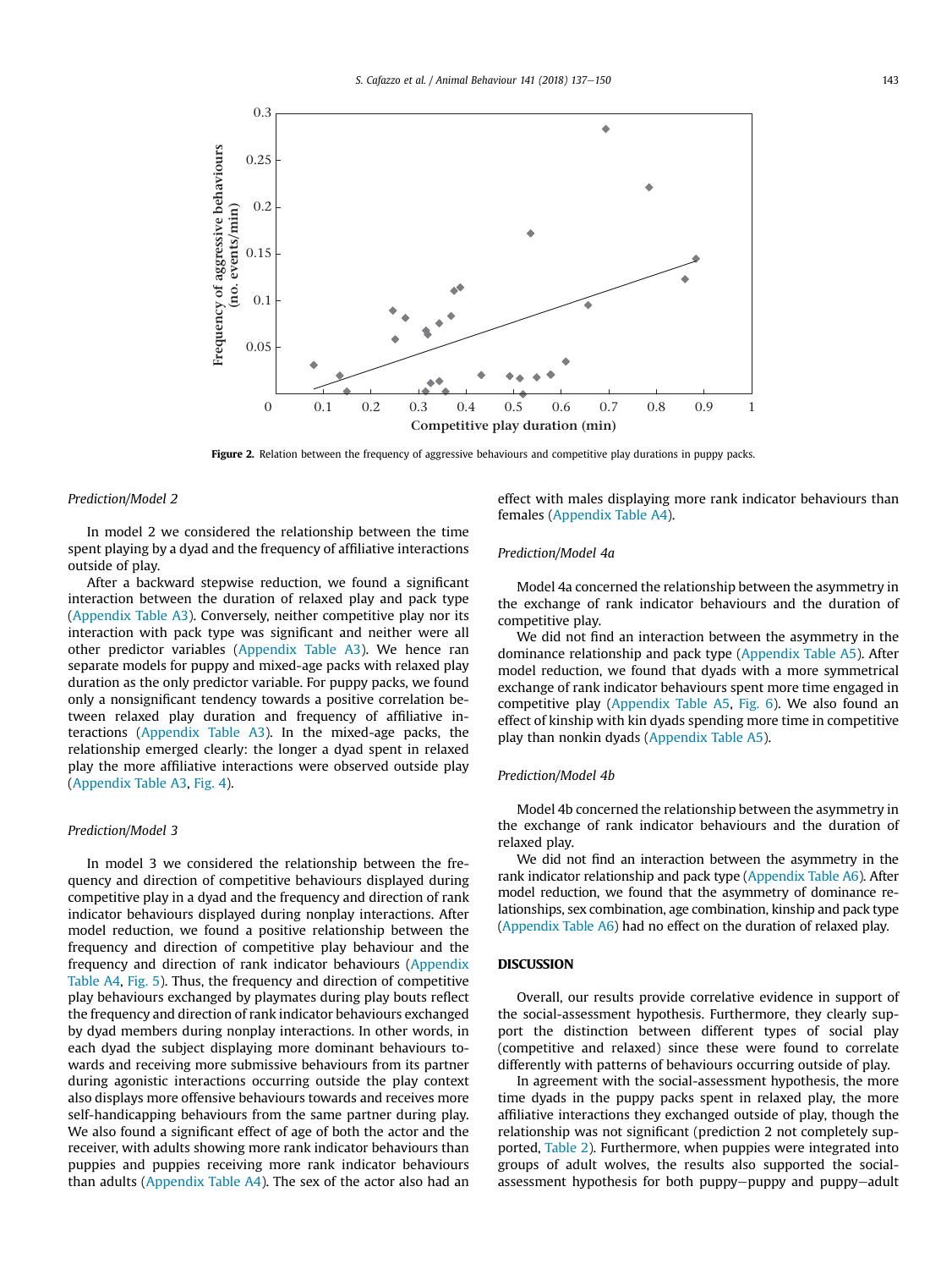

Figure 2. Relation between the frequency of aggressive behaviours and competitive play durations in puppy packs.

#### *Prediction/Model 2*

In model 2 we considered the relationship between the time spent playing by a dyad and the frequency of affiliative interactions outside of play.

After a backward stepwise reduction, we found a significant interaction between the duration of relaxed play and pack type (Appendix Table A3). Conversely, neither competitive play nor its interaction with pack type was significant and neither were all other predictor variables (Appendix Table A3). We hence ran separate models for puppy and mixed-age packs with relaxed play duration as the only predictor variable. For puppy packs, we found only a nonsignificant tendency towards a positive correlation between relaxed play duration and frequency of affiliative interactions (Appendix Table A3). In the mixed-age packs, the relationship emerged clearly: the longer a dyad spent in relaxed play the more affiliative interactions were observed outside play (Appendix Table A3, Fig. 4).

## *Prediction/Model 3*

In model 3 we considered the relationship between the frequency and direction of competitive behaviours displayed during competitive play in a dyad and the frequency and direction of rank indicator behaviours displayed during nonplay interactions. After model reduction, we found a positive relationship between the frequency and direction of competitive play behaviour and the frequency and direction of rank indicator behaviours (Appendix Table A4, Fig. 5). Thus, the frequency and direction of competitive play behaviours exchanged by playmates during play bouts reflect the frequency and direction of rank indicator behaviours exchanged by dyad members during nonplay interactions. In other words, in each dyad the subject displaying more dominant behaviours towards and receiving more submissive behaviours from its partner during agonistic interactions occurring outside the play context also displays more offensive behaviours towards and receives more self-handicapping behaviours from the same partner during play. We also found a significant effect of age of both the actor and the receiver, with adults showing more rank indicator behaviours than puppies and puppies receiving more rank indicator behaviours than adults (Appendix Table A4). The sex of the actor also had an

effect with males displaying more rank indicator behaviours than females (Appendix Table A4).

### *Prediction/Model 4a*

Model 4a concerned the relationship between the asymmetry in the exchange of rank indicator behaviours and the duration of competitive play.

We did not find an interaction between the asymmetry in the dominance relationship and pack type (Appendix Table A5). After model reduction, we found that dyads with a more symmetrical exchange of rank indicator behaviours spent more time engaged in competitive play (Appendix Table A5, Fig. 6). We also found an effect of kinship with kin dyads spending more time in competitive play than nonkin dyads (Appendix Table A5).

#### *Prediction/Model 4b*

Model 4b concerned the relationship between the asymmetry in the exchange of rank indicator behaviours and the duration of relaxed play.

We did not find an interaction between the asymmetry in the rank indicator relationship and pack type (Appendix Table A6). After model reduction, we found that the asymmetry of dominance relationships, sex combination, age combination, kinship and pack type (Appendix Table A6) had no effect on the duration of relaxed play.

# DISCUSSION

Overall, our results provide correlative evidence in support of the social-assessment hypothesis. Furthermore, they clearly support the distinction between different types of social play (competitive and relaxed) since these were found to correlate differently with patterns of behaviours occurring outside of play.

In agreement with the social-assessment hypothesis, the more time dyads in the puppy packs spent in relaxed play, the more affiliative interactions they exchanged outside of play, though the relationship was not significant (prediction 2 not completely supported, Table 2). Furthermore, when puppies were integrated into groups of adult wolves, the results also supported the socialassessment hypothesis for both puppy-puppy and puppy-adult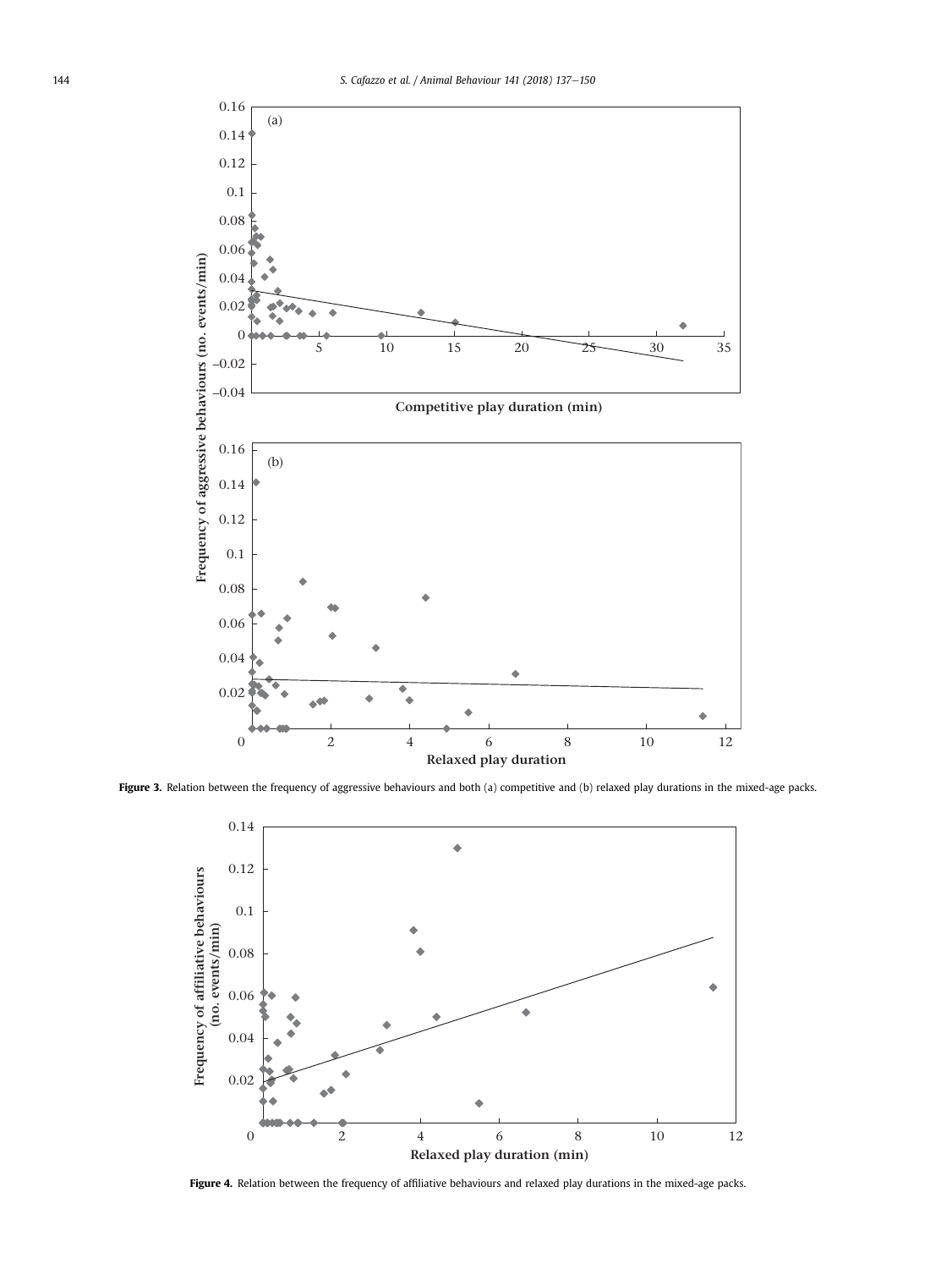

Figure 3. Relation between the frequency of aggressive behaviours and both (a) competitive and (b) relaxed play durations in the mixed-age packs.



Figure 4. Relation between the frequency of affiliative behaviours and relaxed play durations in the mixed-age packs.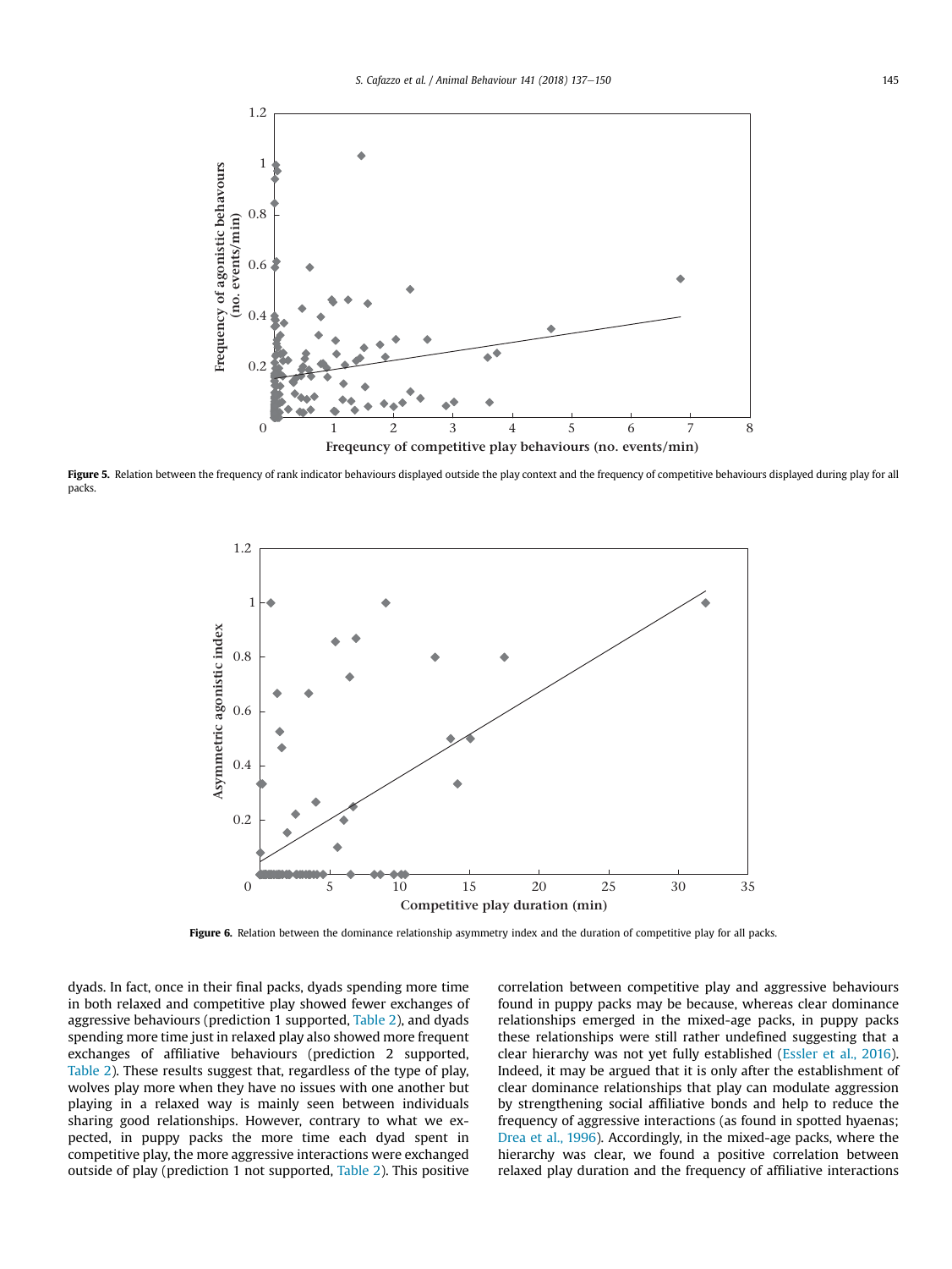

Figure 5. Relation between the frequency of rank indicator behaviours displayed outside the play context and the frequency of competitive behaviours displayed during play for all packs.



Figure 6. Relation between the dominance relationship asymmetry index and the duration of competitive play for all packs.

dyads. In fact, once in their final packs, dyads spending more time in both relaxed and competitive play showed fewer exchanges of aggressive behaviours (prediction 1 supported, Table 2), and dyads spending more time just in relaxed play also showed more frequent exchanges of affiliative behaviours (prediction 2 supported, Table 2). These results suggest that, regardless of the type of play, wolves play more when they have no issues with one another but playing in a relaxed way is mainly seen between individuals sharing good relationships. However, contrary to what we expected, in puppy packs the more time each dyad spent in competitive play, the more aggressive interactions were exchanged outside of play (prediction 1 not supported, Table 2). This positive

correlation between competitive play and aggressive behaviours found in puppy packs may be because, whereas clear dominance relationships emerged in the mixed-age packs, in puppy packs these relationships were still rather undefined suggesting that a clear hierarchy was not yet fully established (Essler et al., 2016). Indeed, it may be argued that it is only after the establishment of clear dominance relationships that play can modulate aggression by strengthening social affiliative bonds and help to reduce the frequency of aggressive interactions (as found in spotted hyaenas; Drea et al., 1996). Accordingly, in the mixed-age packs, where the hierarchy was clear, we found a positive correlation between relaxed play duration and the frequency of affiliative interactions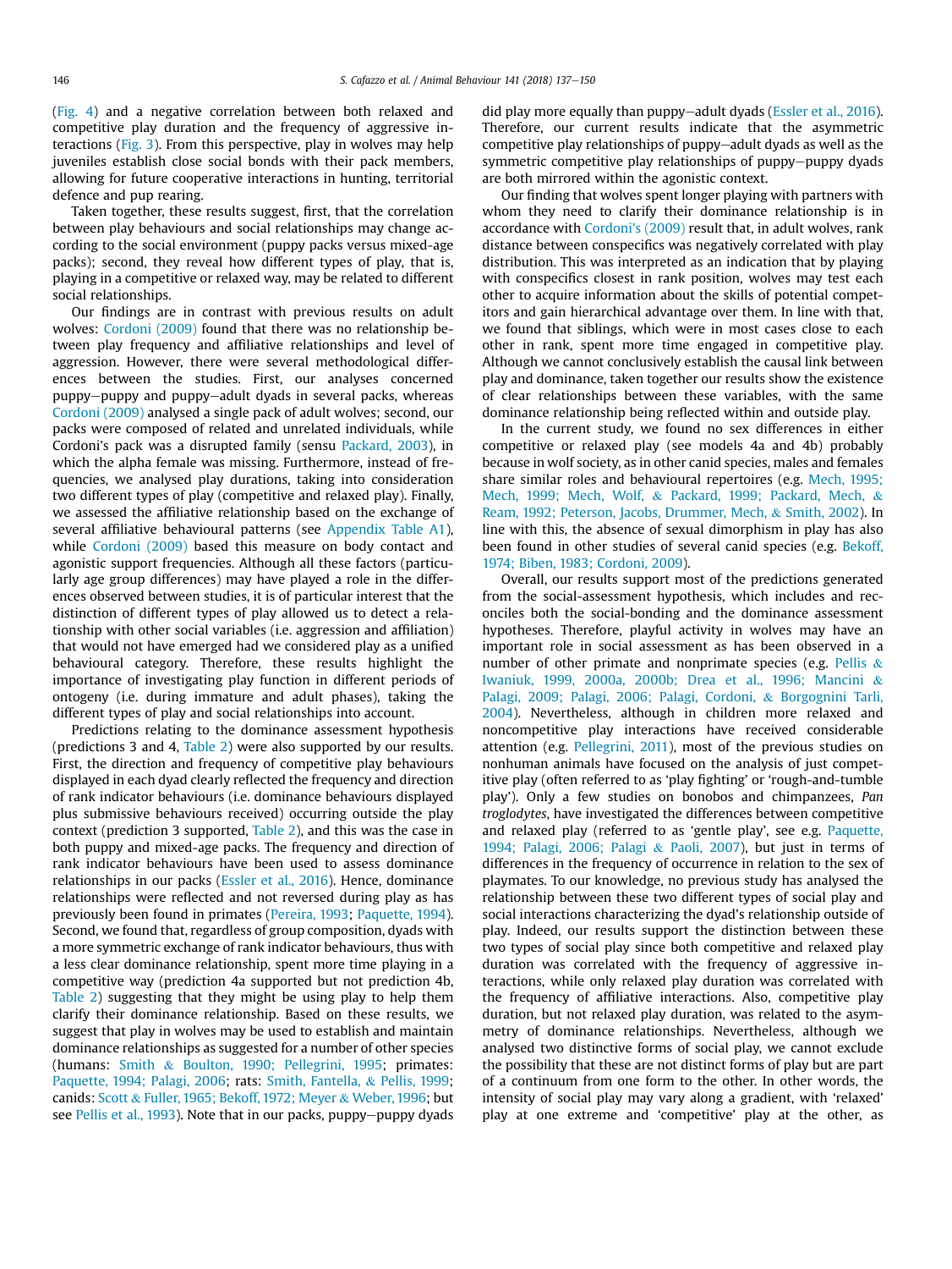(Fig. 4) and a negative correlation between both relaxed and competitive play duration and the frequency of aggressive interactions (Fig. 3). From this perspective, play in wolves may help juveniles establish close social bonds with their pack members, allowing for future cooperative interactions in hunting, territorial defence and pup rearing.

Taken together, these results suggest, first, that the correlation between play behaviours and social relationships may change according to the social environment (puppy packs versus mixed-age packs); second, they reveal how different types of play, that is, playing in a competitive or relaxed way, may be related to different social relationships.

Our findings are in contrast with previous results on adult wolves: Cordoni (2009) found that there was no relationship between play frequency and affiliative relationships and level of aggression. However, there were several methodological differences between the studies. First, our analyses concerned puppy-puppy and puppy-adult dyads in several packs, whereas Cordoni (2009) analysed a single pack of adult wolves; second, our packs were composed of related and unrelated individuals, while Cordoni's pack was a disrupted family (sensu Packard, 2003), in which the alpha female was missing. Furthermore, instead of frequencies, we analysed play durations, taking into consideration two different types of play (competitive and relaxed play). Finally, we assessed the affiliative relationship based on the exchange of several affiliative behavioural patterns (see Appendix Table A1), while Cordoni (2009) based this measure on body contact and agonistic support frequencies. Although all these factors (particularly age group differences) may have played a role in the differences observed between studies, it is of particular interest that the distinction of different types of play allowed us to detect a relationship with other social variables (i.e. aggression and affiliation) that would not have emerged had we considered play as a unified behavioural category. Therefore, these results highlight the importance of investigating play function in different periods of ontogeny (i.e. during immature and adult phases), taking the different types of play and social relationships into account.

Predictions relating to the dominance assessment hypothesis (predictions 3 and 4, Table 2) were also supported by our results. First, the direction and frequency of competitive play behaviours displayed in each dyad clearly reflected the frequency and direction of rank indicator behaviours (i.e. dominance behaviours displayed plus submissive behaviours received) occurring outside the play context (prediction 3 supported, Table 2), and this was the case in both puppy and mixed-age packs. The frequency and direction of rank indicator behaviours have been used to assess dominance relationships in our packs (Essler et al., 2016). Hence, dominance relationships were reflected and not reversed during play as has previously been found in primates (Pereira, 1993; Paquette, 1994). Second, we found that, regardless of group composition, dyads with a more symmetric exchange of rank indicator behaviours, thus with a less clear dominance relationship, spent more time playing in a competitive way (prediction 4a supported but not prediction 4b, Table 2) suggesting that they might be using play to help them clarify their dominance relationship. Based on these results, we suggest that play in wolves may be used to establish and maintain dominance relationships as suggested for a number of other species (humans: Smith & Boulton, 1990; Pellegrini, 1995; primates: Paquette, 1994; Palagi, 2006; rats: Smith, Fantella, & Pellis, 1999; canids: Scott & Fuller, 1965; Bekoff, 1972; Meyer & Weber, 1996; but see Pellis et al., 1993). Note that in our packs, puppy-puppy dyads did play more equally than puppy-adult dyads (Essler et al., 2016). Therefore, our current results indicate that the asymmetric competitive play relationships of puppy-adult dyads as well as the symmetric competitive play relationships of puppy-puppy dyads are both mirrored within the agonistic context.

Our finding that wolves spent longer playing with partners with whom they need to clarify their dominance relationship is in accordance with Cordoni's (2009) result that, in adult wolves, rank distance between conspecifics was negatively correlated with play distribution. This was interpreted as an indication that by playing with conspecifics closest in rank position, wolves may test each other to acquire information about the skills of potential competitors and gain hierarchical advantage over them. In line with that, we found that siblings, which were in most cases close to each other in rank, spent more time engaged in competitive play. Although we cannot conclusively establish the causal link between play and dominance, taken together our results show the existence of clear relationships between these variables, with the same dominance relationship being reflected within and outside play.

In the current study, we found no sex differences in either competitive or relaxed play (see models 4a and 4b) probably because in wolf society, as in other canid species, males and females share similar roles and behavioural repertoires (e.g. Mech, 1995; Mech, 1999; Mech, Wolf, & Packard, 1999; Packard, Mech, & Ream, 1992; Peterson, Jacobs, Drummer, Mech, & Smith, 2002). In line with this, the absence of sexual dimorphism in play has also been found in other studies of several canid species (e.g. Bekoff, 1974; Biben, 1983; Cordoni, 2009).

Overall, our results support most of the predictions generated from the social-assessment hypothesis, which includes and reconciles both the social-bonding and the dominance assessment hypotheses. Therefore, playful activity in wolves may have an important role in social assessment as has been observed in a number of other primate and nonprimate species (e.g. Pellis  $\&$ Iwaniuk, 1999, 2000a, 2000b; Drea et al., 1996; Mancini & Palagi, 2009; Palagi, 2006; Palagi, Cordoni, & Borgognini Tarli, 2004). Nevertheless, although in children more relaxed and noncompetitive play interactions have received considerable attention (e.g. Pellegrini, 2011), most of the previous studies on nonhuman animals have focused on the analysis of just competitive play (often referred to as 'play fighting' or 'rough-and-tumble play'). Only a few studies on bonobos and chimpanzees, *Pan troglodytes*, have investigated the differences between competitive and relaxed play (referred to as 'gentle play', see e.g. Paquette, 1994; Palagi, 2006; Palagi & Paoli, 2007), but just in terms of differences in the frequency of occurrence in relation to the sex of playmates. To our knowledge, no previous study has analysed the relationship between these two different types of social play and social interactions characterizing the dyad's relationship outside of play. Indeed, our results support the distinction between these two types of social play since both competitive and relaxed play duration was correlated with the frequency of aggressive interactions, while only relaxed play duration was correlated with the frequency of affiliative interactions. Also, competitive play duration, but not relaxed play duration, was related to the asymmetry of dominance relationships. Nevertheless, although we analysed two distinctive forms of social play, we cannot exclude the possibility that these are not distinct forms of play but are part of a continuum from one form to the other. In other words, the intensity of social play may vary along a gradient, with 'relaxed' play at one extreme and 'competitive' play at the other, as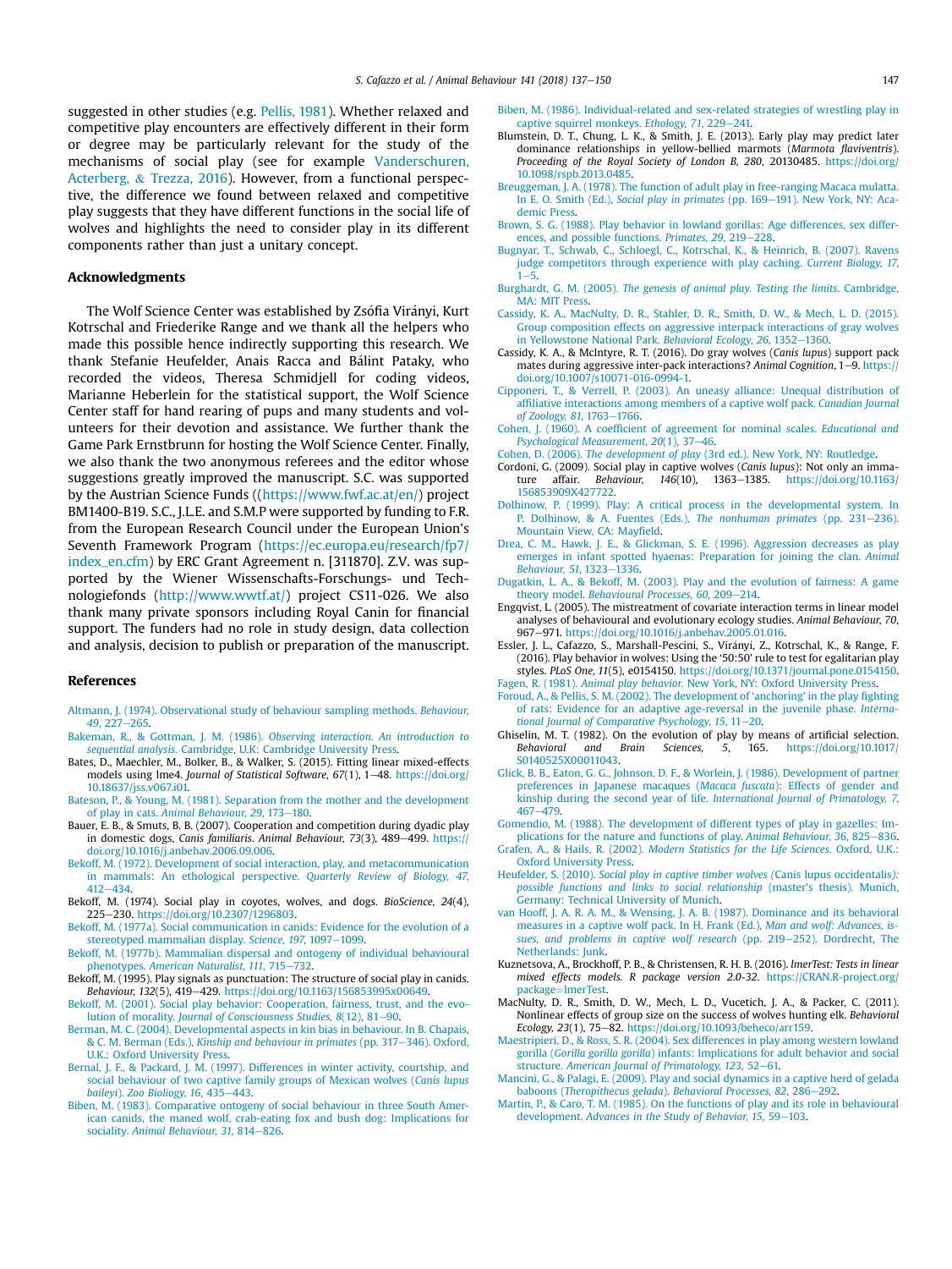suggested in other studies (e.g. Pellis, 1981). Whether relaxed and competitive play encounters are effectively different in their form or degree may be particularly relevant for the study of the mechanisms of social play (see for example Vanderschuren, Acterberg, & Trezza, 2016). However, from a functional perspective, the difference we found between relaxed and competitive play suggests that they have different functions in the social life of wolves and highlights the need to consider play in its different components rather than just a unitary concept.

#### Acknowledgments

The Wolf Science Center was established by Zsófia Virányi, Kurt Kotrschal and Friederike Range and we thank all the helpers who made this possible hence indirectly supporting this research. We thank Stefanie Heufelder, Anais Racca and Balint Pataky, who recorded the videos, Theresa Schmidjell for coding videos, Marianne Heberlein for the statistical support, the Wolf Science Center staff for hand rearing of pups and many students and volunteers for their devotion and assistance. We further thank the Game Park Ernstbrunn for hosting the Wolf Science Center. Finally, we also thank the two anonymous referees and the editor whose suggestions greatly improved the manuscript. S.C. was supported by the Austrian Science Funds ((https://www.fwf.ac.at/en/) project BM1400-B19. S.C., J.L.E. and S.M.P were supported by funding to F.R. from the European Research Council under the European Union's Seventh Framework Program (https://ec.europa.eu/research/fp7/ index\_en.cfm) by ERC Grant Agreement n. [311870]. Z.V. was supported by the Wiener Wissenschafts-Forschungs- und Technologiefonds (http://www.wwtf.at/) project CS11-026. We also thank many private sponsors including Royal Canin for financial support. The funders had no role in study design, data collection and analysis, decision to publish or preparation of the manuscript.

#### References

- Altmann, J. (1974). Observational study of behaviour sampling methods. *Behaviour,* 49, 227<sup>-265</sup>.
- Bakeman, R., & Gottman, J. M. (1986). *Observing interaction. An introduction to sequential analysis*. Cambridge, U.K: Cambridge University Press.
- Bates, D., Maechler, M., Bolker, B., & Walker, S. (2015). Fitting linear mixed-effects models using lme4. *Journal of Statistical Software*, 67(1), 1-48. https://doi.org/ 10.18637/jss.v067.i01.
- Bateson, P., & Young, M. (1981). Separation from the mother and the development of play in cats. *Animal Behaviour*, 29, 173-180.
- Bauer, E. B., & Smuts, B. B. (2007). Cooperation and competition during dyadic play in domestic dogs, *Canis familiaris*. *Animal Behaviour*, 73(3), 489-499. https:// doi.org/10.1016/j.anbehav.2006.09.006.
- Bekoff, M. (1972). Development of social interaction, play, and metacommunication in mammals: An ethological perspective. *Quarterly Review of Biology, 47*,  $412 - 434$
- Bekoff, M. (1974). Social play in coyotes, wolves, and dogs. *BioScience, 24*(4), 225-230. https://doi.org/10.2307/1296803.
- Bekoff, M. (1977a). Social communication in canids: Evidence for the evolution of a stereotyped mammalian display. *Science*, 197, 1097-1099.
- Bekoff, M. (1977b). Mammalian dispersal and ontogeny of individual behavioural phenotypes. *American Naturalist, 111, 715-732.*
- Bekoff, M. (1995). Play signals as punctuation: The structure of social play in canids. Behaviour, 132(5), 419-429. https://doi.org/10.1163/156853995x00649.
- Bekoff, M. (2001). Social play behavior: Cooperation, fairness, trust, and the evolution of morality. *Journal of Consciousness Studies*, 8(12), 81–90.<br>Berman, M. C. (2004). Developmental aspects in kin bias in behaviour. In B. Chapais,
- & C. M. Berman (Eds.), *Kinship and behaviour in primates* (pp. 317-346). Oxford, U.K.: Oxford University Press.
- Bernal, J. F., & Packard, J. M. (1997). Differences in winter activity, courtship, and social behaviour of two captive family groups of Mexican wolves (*Canis lupus baileyi*). *Zoo Bioliogy*, 16, 435-443.
- Biben, M. (1983). Comparative ontogeny of social behaviour in three South American canids, the maned wolf, crab-eating fox and bush dog: Implications for sociality. *Animal Behaviour*, 31, 814-826.
- Biben, M. (1986). Individual-related and sex-related strategies of wrestling play in captive squirrel monkeys. *Ethology*, 71, 229–241.
- Blumstein, D. T., Chung, L. K., & Smith, J. E. (2013). Early play may predict later dominance relationships in yellow-bellied marmots (*Marmota* fl*aviventris*). *Proceeding of the Royal Society of London B, 280*, 20130485. https://doi.org/ 10.1098/rspb.2013.0485.
- Breuggeman, J. A. (1978). The function of adult play in free-ranging Macaca mulatta. In E. O. Smith (Ed.), *Social play in primates* (pp. 169-191). New York, NY: Academic Press.
- Brown, S. G. (1988). Play behavior in lowland gorillas: Age differences, sex differences, and possible functions. *Primates*, 29, 219-228.
- Bugnyar, T., Schwab, C., Schloegl, C., Kotrschal, K., & Heinrich, B. (2007). Ravens judge competitors through experience with play caching. *Current Biology, 17*,  $1 - 5$ .
- Burghardt, G. M. (2005). *The genesis of animal play. Testing the limits*. Cambridge, MA: MIT Press.
- Cassidy, K. A., MacNulty, D. R., Stahler, D. R., Smith, D. W., & Mech, L. D. (2015). Group composition effects on aggressive interpack interactions of gray wolves in Yellowstone National Park. *Behavioral Ecology, 26, 1352-1360.*
- Cassidy, K. A., & McIntyre, R. T. (2016). Do gray wolves (*Canis lupus*) support pack mates during aggressive inter-pack interactions? *Animal Cognition*, 1–9. https:// doi.org/10.1007/s10071-016-0994-1.
- Cipponeri, T., & Verrell, P. (2003). An uneasy alliance: Unequal distribution of affiliative interactions among members of a captive wolf pack. *Canadian Journal of Zoology, 81, 1763-1766.*
- Cohen, J. (1960). A coefficient of agreement for nominal scales. *Educational and Psychological Measurement, 20(1), 37-46.*
- Cohen, D. (2006). *The development of play* (3rd ed.). New York, NY: Routledge.
- Cordoni, G. (2009). Social play in captive wolves (*Canis lupus*): Not only an immature affair. *Behaviour*, 146(10), 1363-1385. https://doi.org/10.1163/ 156853909X427722.
- Dolhinow, P. (1999). Play: A critical process in the developmental system. In P. Dolhinow, & A. Fuentes (Eds.), *The nonhuman primates* (pp. 231-236). Mountain View, CA: Mayfield.
- Drea, C. M., Hawk, J. E., & Glickman, S. E. (1996). Aggression decreases as play emerges in infant spotted hyaenas: Preparation for joining the clan. *Animal Behaviour, 51, 1323-1336.*
- Dugatkin, L. A., & Bekoff, M. (2003). Play and the evolution of fairness: A game theory model. *Behavioural Processes*, 60, 209-214.
- Engqvist, L. (2005). The mistreatment of covariate interaction terms in linear model analyses of behavioural and evolutionary ecology studies. *Animal Behaviour, 70*, 967-971. https://doi.org/10.1016/j.anbehav.2005.01.016.
- Essler, J. L., Cafazzo, S., Marshall-Pescini, S., Virányi, Z., Kotrschal, K., & Range, F. (2016). Play behavior in wolves: Using the '50:50' rule to test for egalitarian play styles. *PLoS One, 11*(5), e0154150. https://doi.org/10.1371/journal.pone.0154150.
- Fagen, R. (1981). *Animal play behavior*. New York, NY: Oxford University Press.
- Foroud, A., & Pellis, S. M. (2002). The development of 'anchoring' in the play fighting of rats: Evidence for an adaptive age-reversal in the juvenile phase. *International Journal of Comparative Psychology, 15, 11-20.*
- Ghiselin, M. T. (1982). On the evolution of play by means of artificial selection.<br>Behavioral and Brain Sciences, 5, 165. https://doi.org/10.1017/ *Behavioral and Brain Sciences, 5*, 165. https://doi.org/10.1017/ S0140525X00011043.
- Glick, B. B., Eaton, G. G., Johnson, D. F., & Worlein, J. (1986). Development of partner preferences in Japanese macaques (*Macaca fuscata*): Effects of gender and kinship during the second year of life. *International Journal of Primatology, 7*, 467-479.
- Gomendio, M. (1988). The development of different types of play in gazelles: Implications for the nature and functions of play. *Animal Behaviour*, 36, 825-836.
- Grafen, A., & Hails, R. (2002). *Modern Statistics for the Life Sciences*. Oxford, U.K.: Oxford University Press.
- Heufelder, S. (2010). *Social play in captive timber wolves (*Canis lupus occidentalis*): possible functions and links to social relationship* (master's thesis). Munich, Germany: Technical University of Munich.
- van Hooff, J. A. R. A. M., & Wensing, J. A. B. (1987). Dominance and its behavioral measures in a captive wolf pack. In H. Frank (Ed.), *Man and wolf: Advances, is*sues, and problems in captive wolf research (pp. 219-252). Dordrecht, The Netherlands: Junk.
- Kuznetsova, A., Brockhoff, P. B., & Christensen, R. H. B. (2016). *lmerTest: Tests in linear mixed effects models. R package version 2.0-32*. https://CRAN.R-project.org/ package=lmerTest.
- MacNulty, D. R., Smith, D. W., Mech, L. D., Vucetich, J. A., & Packer, C. (2011). Nonlinear effects of group size on the success of wolves hunting elk. *Behavioral Ecology, 23*(1), 75-82. https://doi.org/10.1093/beheco/arr159.
- Maestripieri, D., & Ross, S. R. (2004). Sex differences in play among western lowland gorilla (*Gorilla gorilla gorilla*) infants: Implications for adult behavior and social structure. *American Journal of Primatology, 123, 52-61.*
- Mancini, G., & Palagi, E. (2009). Play and social dynamics in a captive herd of gelada baboons (*Theropithecus gelada*). *Behavioral Processes, 82, 286-292.*
- Martin, P., & Caro, T. M. (1985). On the functions of play and its role in behavioural development. *Advances in the Study of Behavior*, 15, 59-103.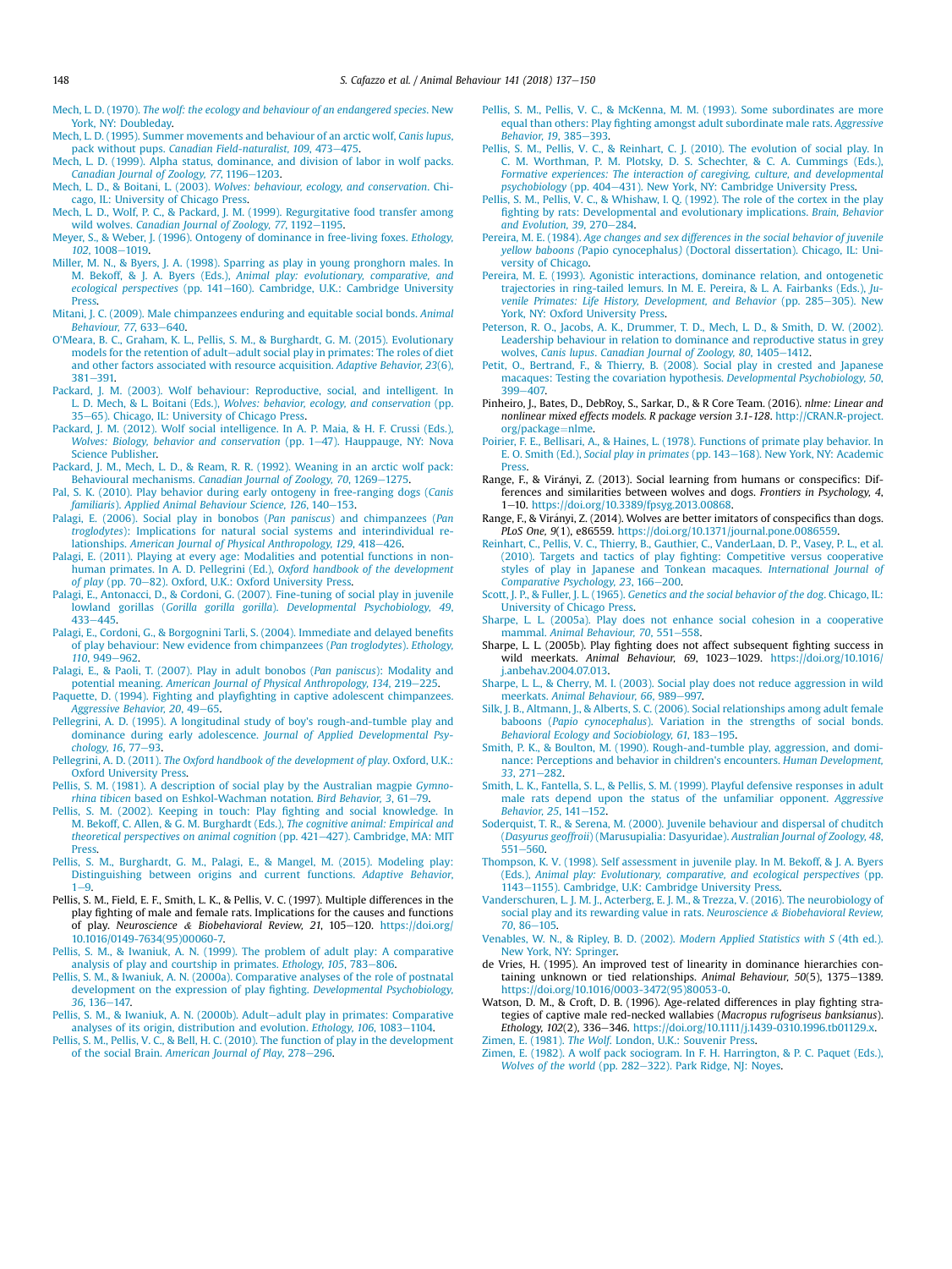- Mech, L. D. (1970). *The wolf: the ecology and behaviour of an endangered species*. New York, NY: Doubleday.
- Mech, L. D. (1995). Summer movements and behaviour of an arctic wolf, *Canis lupus*, pack without pups. *Canadian Field-naturalist*, 109, 473-475.
- Mech, L. D. (1999). Alpha status, dominance, and division of labor in wolf packs. *Canadian Journal of Zoology, 77, 1196–1203.*
- Mech, L. D., & Boitani, L. (2003). *Wolves: behaviour, ecology, and conservation*. Chicago, IL: University of Chicago Press.
- Mech, L. D., Wolf, P. C., & Packard, J. M. (1999). Regurgitative food transfer among wild wolves. *Canadian Journal of Zoology*, 77, 1192-1195.
- Meyer, S., & Weber, J. (1996). Ontogeny of dominance in free-living foxes. *Ethology, 102*, 1008-1019.
- Miller, M. N., & Byers, J. A. (1998). Sparring as play in young pronghorn males. In M. Bekoff, & J. A. Byers (Eds.), *Animal play: evolutionary, comparative, and ecological perspectives* (pp. 141-160). Cambridge, U.K.: Cambridge University Press.
- Mitani, J. C. (2009). Male chimpanzees enduring and equitable social bonds. *Animal Behaviour, 77, 633-640.*
- O'Meara, B. C., Graham, K. L., Pellis, S. M., & Burghardt, G. M. (2015). Evolutionary models for the retention of adult-adult social play in primates: The roles of diet and other factors associated with resource acquisition. *Adaptive Behavior, 23*(6),  $381 - 391$
- Packard, J. M. (2003). Wolf behaviour: Reproductive, social, and intelligent. In L. D. Mech, & L. Boitani (Eds.), *Wolves: behavior, ecology, and conservation* (pp. 35-65). Chicago, IL: University of Chicago Press.
- Packard, J. M. (2012). Wolf social intelligence. In A. P. Maia, & H. F. Crussi (Eds.), *Wolves: Biology, behavior and conservation* (pp. 1-47). Hauppauge, NY: Nova Science Publisher.
- Packard, J. M., Mech, L. D., & Ream, R. R. (1992). Weaning in an arctic wolf pack: Behavioural mechanisms. *Canadian Journal of Zoology, 70*, 1269-1275.
- Pal, S. K. (2010). Play behavior during early ontogeny in free-ranging dogs (*Canis* familiaris). *Applied Animal Behaviour Science, 126, 140-153*.
- Palagi, E. (2006). Social play in bonobos (*Pan paniscus*) and chimpanzees (*Pan troglodytes*): Implications for natural social systems and interindividual relationships. American Journal of Physical Anthropology, 129, 418-426.
- Palagi, E. (2011). Playing at every age: Modalities and potential functions in nonhuman primates. In A. D. Pellegrini (Ed.), *Oxford handbook of the development* of play (pp. 70-82). Oxford, U.K.: Oxford University Press.
- Palagi, E., Antonacci, D., & Cordoni, G. (2007). Fine-tuning of social play in juvenile lowland gorillas (*Gorilla gorilla gorilla*). *Developmental Psychobiology, 49*, 433-445
- Palagi, E., Cordoni, G., & Borgognini Tarli, S. (2004). Immediate and delayed benefits of play behaviour: New evidence from chimpanzees (*Pan troglodytes*). *Ethology, 110*, 949-962.
- Palagi, E., & Paoli, T. (2007). Play in adult bonobos (*Pan paniscus*): Modality and potential meaning. *American Journal of Physical Anthropology, 134, 219-225.*
- Paquette, D. (1994). Fighting and playfighting in captive adolescent chimpanzees. *Aggressive Behavior, 20, 49-65.*
- Pellegrini, A. D. (1995). A longitudinal study of boy's rough-and-tumble play and dominance during early adolescence. *Journal of Applied Developmental Psychology, 16, 77-93.*
- Pellegrini, A. D. (2011). *The Oxford handbook of the development of play*. Oxford, U.K.: Oxford University Press.
- Pellis, S. M. (1981). A description of social play by the Australian magpie *Gymnorhina tibicen* based on Eshkol-Wachman notation. *Bird Behavior*, 3, 61-79.
- Pellis, S. M. (2002). Keeping in touch: Play fighting and social knowledge. In M. Bekoff, C. Allen, & G. M. Burghardt (Eds.), *The cognitive animal: Empirical and theoretical perspectives on animal cognition* (pp. 421-427). Cambridge, MA: MIT Press.
- Pellis, S. M., Burghardt, G. M., Palagi, E., & Mangel, M. (2015). Modeling play: Distinguishing between origins and current functions. *Adaptive Behavior*,  $1 - 9$
- Pellis, S. M., Field, E. F., Smith, L. K., & Pellis, V. C. (1997). Multiple differences in the play fighting of male and female rats. Implications for the causes and functions of play. *Neuroscience* & *Biobehavioral Review, 21, 105-120. https://doi.org/* 10.1016/0149-7634(95)00060-7.
- Pellis, S. M., & Iwaniuk, A. N. (1999). The problem of adult play: A comparative analysis of play and courtship in primates. *Ethology*, 105, 783-806.
- Pellis, S. M., & Iwaniuk, A. N. (2000a). Comparative analyses of the role of postnatal development on the expression of play fighting. *Developmental Psychobiology,* 36, 136-147.
- Pellis, S. M., & Iwaniuk, A. N. (2000b). Adult-adult play in primates: Comparative analyses of its origin, distribution and evolution. *Ethology*, 106, 1083-1104.
- Pellis, S. M., Pellis, V. C., & Bell, H. C. (2010). The function of play in the development of the social Brain. *American Journal of Play*, 278-296.
- Pellis, S. M., Pellis, V. C., & McKenna, M. M. (1993). Some subordinates are more equal than others: Play fighting amongst adult subordinate male rats. *Aggressive Behavior, 19, 385-393.*
- Pellis, S. M., Pellis, V. C., & Reinhart, C. J. (2010). The evolution of social play. In C. M. Worthman, P. M. Plotsky, D. S. Schechter, & C. A. Cummings (Eds.), *Formative experiences: The interaction of caregiving, culture, and developmental psychobiology* (pp. 404–431). New York, NY: Cambridge University Press.
- Pellis, S. M., Pellis, V. C., & Whishaw, I. Q. (1992). The role of the cortex in the play fighting by rats: Developmental and evolutionary implications. *Brain, Behavior and Evolution, 39, 270-284.*
- Pereira, M. E. (1984). *Age changes and sex differences in the social behavior of juvenile yellow baboons (*Papio cynocephalus*)* (Doctoral dissertation). Chicago, IL: University of Chicago.
- Pereira, M. E. (1993). Agonistic interactions, dominance relation, and ontogenetic trajectories in ring-tailed lemurs. In M. E. Pereira, & L. A. Fairbanks (Eds.), *Juvenile Primates: Life History, Development, and Behavior* (pp. 285-305). New York, NY: Oxford University Press.
- Peterson, R. O., Jacobs, A. K., Drummer, T. D., Mech, L. D., & Smith, D. W. (2002). Leadership behaviour in relation to dominance and reproductive status in grey wolves, *Canis lupus*. *Canadian Journal of Zoology, 80, 1405-1412*.
- Petit, O., Bertrand, F., & Thierry, B. (2008). Social play in crested and Japanese macaques: Testing the covariation hypothesis. *Developmental Psychobiology, 50*, 399-407.
- Pinheiro, J., Bates, D., DebRoy, S., Sarkar, D., & R Core Team. (2016). *nlme: Linear and nonlinear mixed effects models. R package version 3.1-128*. http://CRAN.R-project.  $ore/package = n$ lme
- Poirier, F. E., Bellisari, A., & Haines, L. (1978). Functions of primate play behavior. In E. O. Smith (Ed.), *Social play in primates* (pp. 143-168). New York, NY: Academic Press.
- Range, F., & Viranyi, Z. (2013). Social learning from humans or conspecifics: Differences and similarities between wolves and dogs. *Frontiers in Psychology, 4*, 1-10. https://doi.org/10.3389/fpsyg.2013.00868.
- Range, F., & Virányi, Z. (2014). Wolves are better imitators of conspecifics than dogs. *PLoS One, 9*(1), e86559. https://doi.org/10.1371/journal.pone.0086559.
- Reinhart, C., Pellis, V. C., Thierry, B., Gauthier, C., VanderLaan, D. P., Vasey, P. L., et al. (2010). Targets and tactics of play fighting: Competitive versus cooperative styles of play in Japanese and Tonkean macaques. *International Journal of Comparative Psychology, 23, 166-200.*
- Scott, J. P., & Fuller, J. L. (1965). *Genetics and the social behavior of the dog*. Chicago, IL: University of Chicago Press.
- Sharpe, L. L. (2005a). Play does not enhance social cohesion in a cooperative mammal. *Animal Behaviour*, 70, 551-558.
- Sharpe, L. L. (2005b). Play fighting does not affect subsequent fighting success in wild meerkats. Animal Behaviour, 69, 1023-1029. https://doi.org/10.1016/ j.anbehav.2004.07.013.
- Sharpe, L. L., & Cherry, M. I. (2003). Social play does not reduce aggression in wild meerkats. Animal Behaviour, 66, 989-997.
- Silk, J. B., Altmann, J., & Alberts, S. C. (2006). Social relationships among adult female baboons (*Papio cynocephalus*). Variation in the strengths of social bonds. Behavioral Ecology and Sociobiology, 61, 183-195.
- Smith, P. K., & Boulton, M. (1990). Rough-and-tumble play, aggression, and dominance: Perceptions and behavior in children's encounters. *Human Development,* 33, 271-282
- Smith, L. K., Fantella, S. L., & Pellis, S. M. (1999). Playful defensive responses in adult male rats depend upon the status of the unfamiliar opponent. *Aggressive* Behavior, 25, 141-152.
- Soderquist, T. R., & Serena, M. (2000). Juvenile behaviour and dispersal of chuditch (*Dasyurus geoffroii*) (Marusupialia: Dasyuridae). *Australian Journal of Zoology, 48*,  $551 - 560$ .
- Thompson, K. V. (1998). Self assessment in juvenile play. In M. Bekoff, & J. A. Byers (Eds.), *Animal play: Evolutionary, comparative, and ecological perspectives* (pp. 1143-1155). Cambridge, U.K: Cambridge University Press.
- Vanderschuren, L. J. M. J., Acterberg, E. J. M., & Trezza, V. (2016). The neurobiology of social play and its rewarding value in rats. *Neuroscience* & *Biobehavioral Review, 70*, 86-105.
- Venables, W. N., & Ripley, B. D. (2002). *Modern Applied Statistics with S* (4th ed.). New York, NY: Springer.
- de Vries, H. (1995). An improved test of linearity in dominance hierarchies containing unknown or tied relationships. Animal Behaviour, 50(5), 1375-1389. https://doi.org/10.1016/0003-3472(95)80053-0.
- Watson, D. M., & Croft, D. B. (1996). Age-related differences in play fighting strategies of captive male red-necked wallabies (*Macropus rufogriseus banksianus*). Ethology, 102(2), 336-346. https://doi.org/10.1111/j.1439-0310.1996.tb01129.x. Zimen, E. (1981). *The Wolf*. London, U.K.: Souvenir Press.
- Zimen, E. (1982). A wolf pack sociogram. In F. H. Harrington, & P. C. Paquet (Eds.), *Wolves of the world* (pp. 282-322). Park Ridge, NJ: Noyes.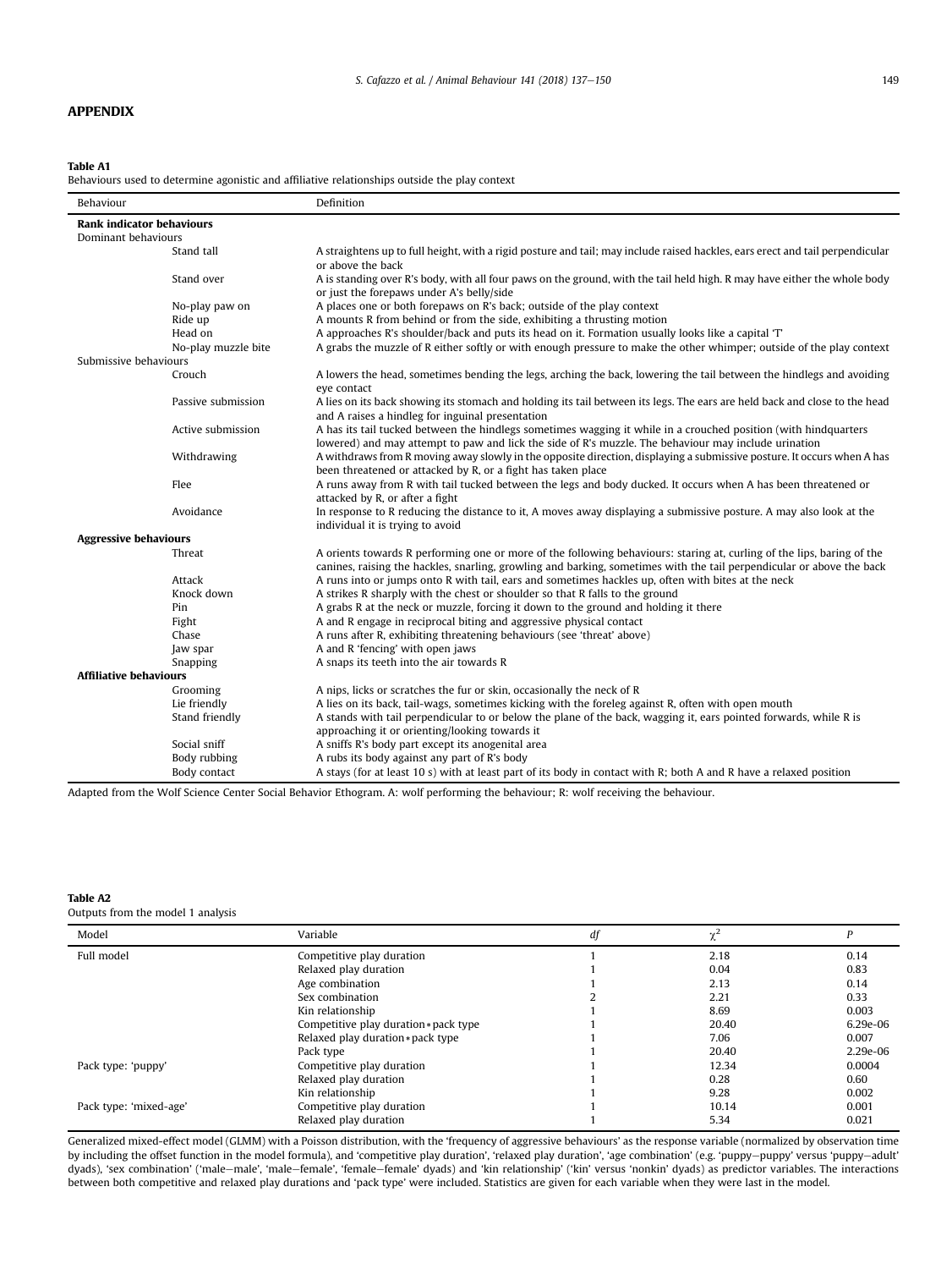# APPENDIX

Table A1

l,

Behaviours used to determine agonistic and affiliative relationships outside the play context

| Behaviour                        |                     | Definition                                                                                                                                                                                                                                      |
|----------------------------------|---------------------|-------------------------------------------------------------------------------------------------------------------------------------------------------------------------------------------------------------------------------------------------|
| <b>Rank indicator behaviours</b> |                     |                                                                                                                                                                                                                                                 |
| Dominant behaviours              |                     |                                                                                                                                                                                                                                                 |
|                                  | Stand tall          | A straightens up to full height, with a rigid posture and tail; may include raised hackles, ears erect and tail perpendicular<br>or above the back                                                                                              |
|                                  | Stand over          | A is standing over R's body, with all four paws on the ground, with the tail held high. R may have either the whole body<br>or just the forepaws under A's belly/side                                                                           |
|                                  | No-play paw on      | A places one or both forepaws on R's back; outside of the play context                                                                                                                                                                          |
|                                  | Ride up             | A mounts R from behind or from the side, exhibiting a thrusting motion                                                                                                                                                                          |
|                                  | Head on             | A approaches R's shoulder/back and puts its head on it. Formation usually looks like a capital 'T'                                                                                                                                              |
|                                  | No-play muzzle bite | A grabs the muzzle of R either softly or with enough pressure to make the other whimper; outside of the play context                                                                                                                            |
| Submissive behaviours            |                     |                                                                                                                                                                                                                                                 |
|                                  | Crouch              | A lowers the head, sometimes bending the legs, arching the back, lowering the tail between the hindlegs and avoiding<br>eye contact                                                                                                             |
|                                  | Passive submission  | A lies on its back showing its stomach and holding its tail between its legs. The ears are held back and close to the head<br>and A raises a hindleg for inguinal presentation                                                                  |
|                                  | Active submission   | A has its tail tucked between the hindlegs sometimes wagging it while in a crouched position (with hindquarters<br>lowered) and may attempt to paw and lick the side of R's muzzle. The behaviour may include urination                         |
|                                  | Withdrawing         | A withdraws from R moving away slowly in the opposite direction, displaying a submissive posture. It occurs when A has<br>been threatened or attacked by R, or a fight has taken place                                                          |
|                                  | Flee                | A runs away from R with tail tucked between the legs and body ducked. It occurs when A has been threatened or<br>attacked by R, or after a fight                                                                                                |
|                                  | Avoidance           | In response to R reducing the distance to it, A moves away displaying a submissive posture. A may also look at the<br>individual it is trying to avoid                                                                                          |
| <b>Aggressive behaviours</b>     |                     |                                                                                                                                                                                                                                                 |
|                                  | Threat              | A orients towards R performing one or more of the following behaviours: staring at, curling of the lips, baring of the<br>canines, raising the hackles, snarling, growling and barking, sometimes with the tail perpendicular or above the back |
|                                  | Attack              | A runs into or jumps onto R with tail, ears and sometimes hackles up, often with bites at the neck                                                                                                                                              |
|                                  | Knock down          | A strikes R sharply with the chest or shoulder so that R falls to the ground                                                                                                                                                                    |
|                                  | Pin                 | A grabs R at the neck or muzzle, forcing it down to the ground and holding it there                                                                                                                                                             |
|                                  | Fight               | A and R engage in reciprocal biting and aggressive physical contact                                                                                                                                                                             |
|                                  | Chase               | A runs after R, exhibiting threatening behaviours (see 'threat' above)                                                                                                                                                                          |
|                                  | Jaw spar            | A and R 'fencing' with open jaws                                                                                                                                                                                                                |
|                                  | Snapping            | A snaps its teeth into the air towards R                                                                                                                                                                                                        |
| <b>Affiliative behaviours</b>    |                     |                                                                                                                                                                                                                                                 |
|                                  | Grooming            | A nips, licks or scratches the fur or skin, occasionally the neck of R                                                                                                                                                                          |
|                                  | Lie friendly        | A lies on its back, tail-wags, sometimes kicking with the foreleg against R, often with open mouth                                                                                                                                              |
|                                  | Stand friendly      | A stands with tail perpendicular to or below the plane of the back, wagging it, ears pointed forwards, while R is                                                                                                                               |
|                                  |                     | approaching it or orienting/looking towards it                                                                                                                                                                                                  |
|                                  | Social sniff        | A sniffs R's body part except its anogenital area                                                                                                                                                                                               |
|                                  | Body rubbing        | A rubs its body against any part of R's body                                                                                                                                                                                                    |
|                                  | Body contact        | A stays (for at least 10 s) with at least part of its body in contact with R; both A and R have a relaxed position                                                                                                                              |

Adapted from the Wolf Science Center Social Behavior Ethogram. A: wolf performing the behaviour; R: wolf receiving the behaviour.

| Table A2 |  |
|----------|--|
|----------|--|

Outputs from the model 1 analysis

| Model                  | Variable                              | df | $\mathcal{V}^2$ | D        |
|------------------------|---------------------------------------|----|-----------------|----------|
| Full model             | Competitive play duration             |    | 2.18            | 0.14     |
|                        | Relaxed play duration                 |    | 0.04            | 0.83     |
|                        | Age combination                       |    | 2.13            | 0.14     |
|                        | Sex combination                       |    | 2.21            | 0.33     |
|                        | Kin relationship                      |    | 8.69            | 0.003    |
|                        | Competitive play duration * pack type |    | 20.40           | 6.29e-06 |
|                        | Relaxed play duration * pack type     |    | 7.06            | 0.007    |
|                        | Pack type                             |    | 20.40           | 2.29e-06 |
| Pack type: 'puppy'     | Competitive play duration             |    | 12.34           | 0.0004   |
|                        | Relaxed play duration                 |    | 0.28            | 0.60     |
|                        | Kin relationship                      |    | 9.28            | 0.002    |
| Pack type: 'mixed-age' | Competitive play duration             |    | 10.14           | 0.001    |
|                        | Relaxed play duration                 |    | 5.34            | 0.021    |

Generalized mixed-effect model (GLMM) with a Poisson distribution, with the 'frequency of aggressive behaviours' as the response variable (normalized by observation time by including the offset function in the model formula), and 'competitive play duration', 'relaxed play duration', 'age combination' (e.g. 'puppy-puppy' versus 'puppy-adult' dyads), 'sex combination' ('male-male', 'male-female', 'female-female' dyads) and 'kin relationship' ('kin' versus 'nonkin' dyads) as predictor variables. The interactions between both competitive and relaxed play durations and 'pack type' were included. Statistics are given for each variable when they were last in the model.